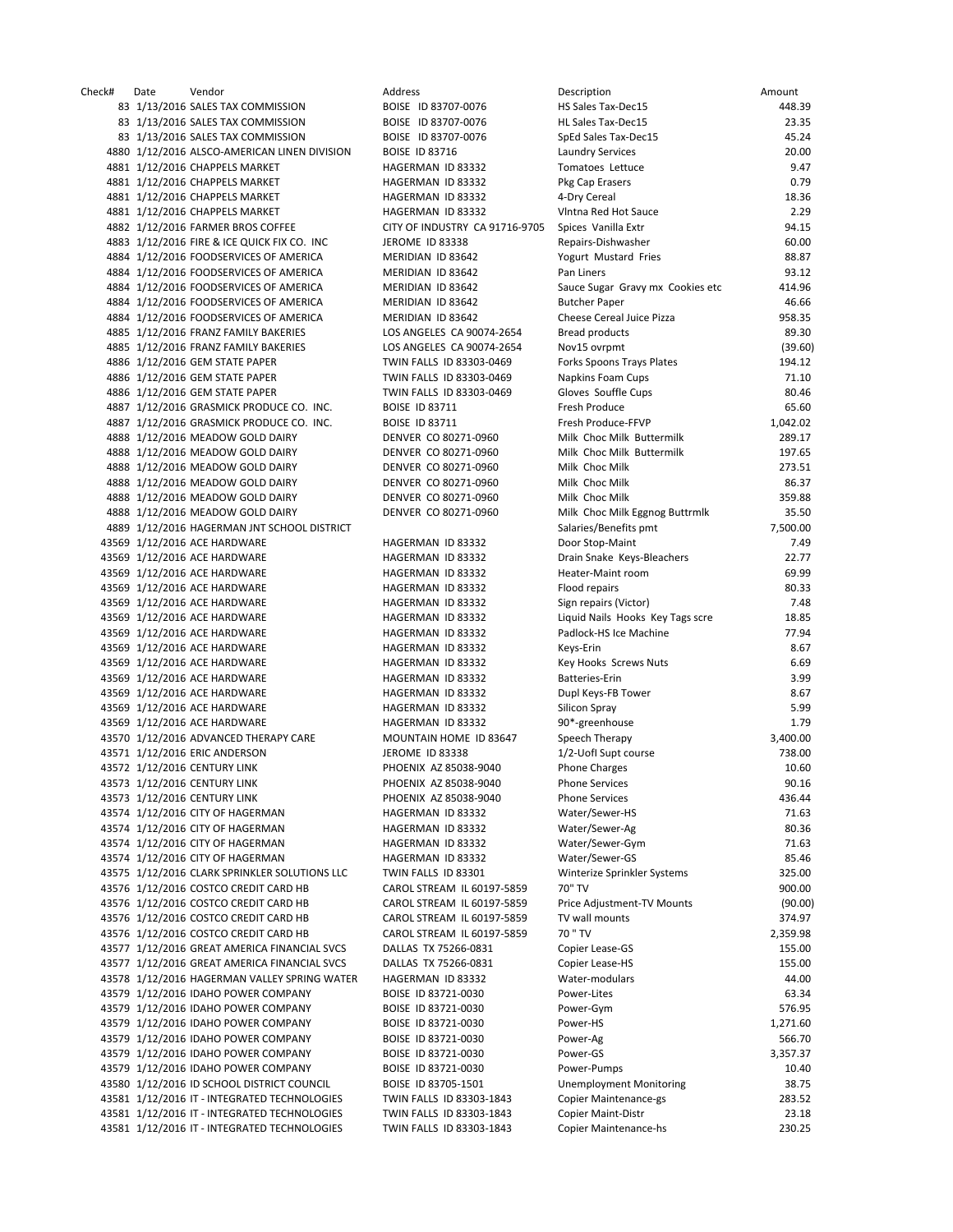Check# Date Vendor Address Description Amount 83 1/13/2016 SALES TAX COMMISSION BOISE ID 83707-0076 83 1/13/2016 SALES TAX COMMISSION BOISE ID 83707-0076 83 1/13/2016 SALES TAX COMMISSION BOISE ID 83707-0076 4880 1/12/2016 ALSCO-AMERICAN LINEN DIVISION BOISE ID 83716 4881 1/12/2016 CHAPPELS MARKET HAGERMAN ID 83332 4881 1/12/2016 CHAPPELS MARKET HAGERMAN ID 83332 4881 1/12/2016 CHAPPELS MARKET HAGERMAN ID 83332 4881 1/12/2016 CHAPPELS MARKET HAGERMAN ID 83332 4882 1/12/2016 FARMER BROS COFFEE CITY OF INDUSTRY CA 91716-9705 4883 1/12/2016 FIRE & ICE QUICK FIX CO. INC JEROME ID 83338 4884 1/12/2016 FOODSERVICES OF AMERICA MERIDIAN ID 83642 4884 1/12/2016 FOODSERVICES OF AMERICA MERIDIAN ID 83642 4884 1/12/2016 FOODSERVICES OF AMERICA MERIDIAN ID 83642 4884 1/12/2016 FOODSERVICES OF AMERICA MERIDIAN ID 83642 4884 1/12/2016 FOODSERVICES OF AMERICA MERIDIAN ID 83642 4885 1/12/2016 FRANZ FAMILY BAKERIES LOS ANGELES CA 90074-2654 4885 1/12/2016 FRANZ FAMILY BAKERIES LOS ANGELES CA 90074‐2654 Nov15 ovrpmt (39.60) 4886 1/12/2016 GEM STATE PAPER TWIN FALLS ID 83303-0469 4886 1/12/2016 GEM STATE PAPER TWIN FALLS ID 83303-0469 4886 1/12/2016 GEM STATE PAPER TWIN FALLS ID 83303-0469 4887 1/12/2016 GRASMICK PRODUCE CO. INC. BOISE ID 83711 4887 1/12/2016 GRASMICK PRODUCE CO. INC. BOISE ID 83711 4888 1/12/2016 MEADOW GOLD DAIRY DENVER CO 80271-0960 4888 1/12/2016 MEADOW GOLD DAIRY DENVER CO 80271-0960 4888 1/12/2016 MEADOW GOLD DAIRY DENVER CO 80271-0960 4888 1/12/2016 MEADOW GOLD DAIRY DENVER CO 80271-0960 4888 1/12/2016 MEADOW GOLD DAIRY DENVER CO 80271-0960 4888 1/12/2016 MEADOW GOLD DAIRY DENVER CO 80271-0960 4889 1/12/2016 HAGERMAN JNT SCHOOL DISTRICT 43569 1/12/2016 ACE HARDWARE HAGERMAN ID 83332 43569 1/12/2016 ACE HARDWARE HAGERMAN ID 83332 43569 1/12/2016 ACE HARDWARE HAGERMAN ID 83332 43569 1/12/2016 ACE HARDWARE HAGERMAN ID 83332 43569 1/12/2016 ACE HARDWARE HAGERMAN ID 83332 43569 1/12/2016 ACE HARDWARE HAGERMAN ID 83332 43569 1/12/2016 ACE HARDWARE HAGERMAN ID 83332 43569 1/12/2016 ACE HARDWARE HAGERMAN ID 83332 43569 1/12/2016 ACE HARDWARE HAGERMAN ID 83332 43569 1/12/2016 ACE HARDWARE HAGERMAN ID 83332 43569 1/12/2016 ACE HARDWARE HAGERMAN ID 83332 43569 1/12/2016 ACE HARDWARE **HAGERMAN ID 83332** 43569 1/12/2016 ACE HARDWARE HAGERMAN ID 83332 43570 1/12/2016 ADVANCED THERAPY CARE MOUNTAIN HOME ID 83647 43571 1/12/2016 ERIC ANDERSON JEROME ID 83338 43572 1/12/2016 CENTURY LINK PHOENIX AZ 85038-9040 43573 1/12/2016 CENTURY LINK PHOENIX AZ 85038-9040 43573 1/12/2016 CENTURY LINK PHOENIX AZ 85038-9040 43574 1/12/2016 CITY OF HAGERMAN NAGERMAN HAGERMAN ID 83332 43574 1/12/2016 CITY OF HAGERMAN HAGERMAN HAGERMAN ID 83332 43574 1/12/2016 CITY OF HAGERMAN HAGERMAN HAGERMAN ID 83332 43574 1/12/2016 CITY OF HAGERMAN HAGERMAN HAGERMAN ID 83332 43575 1/12/2016 CLARK SPRINKLER SOLUTIONS LLC TWIN FALLS ID 83301 43576 1/12/2016 COSTCO CREDIT CARD HB CAROL STREAM IL 60197-5859 43576 1/12/2016 COSTCO CREDIT CARD HB CAROL STREAM IL 60197-5859 43576 1/12/2016 COSTCO CREDIT CARD HB CAROL STREAM IL 60197-5859 43576 1/12/2016 COSTCO CREDIT CARD HB CAROL STREAM IL 60197-5859 43577 1/12/2016 GREAT AMERICA FINANCIAL SVCS DALLAS TX 75266-0831 43577 1/12/2016 GREAT AMERICA FINANCIAL SVCS DALLAS TX 75266-0831 43578 1/12/2016 HAGERMAN VALLEY SPRING WATER HAGERMAN ID 83332 43579 1/12/2016 IDAHO POWER COMPANY BOISE ID 83721-0030 43579 1/12/2016 IDAHO POWER COMPANY BOISE ID 83721-0030 43579 1/12/2016 IDAHO POWER COMPANY BOISE ID 83721-0030 43579 1/12/2016 IDAHO POWER COMPANY BOISE ID 83721-0030 43579 1/12/2016 IDAHO POWER COMPANY BOISE ID 83721-0030 43579 1/12/2016 IDAHO POWER COMPANY BOISE ID 83721-0030 43580 1/12/2016 ID SCHOOL DISTRICT COUNCIL BOISE ID 83705-1501 43581 1/12/2016 IT - INTEGRATED TECHNOLOGIES TWIN FALLS ID 83303-1843 43581 1/12/2016 IT - INTEGRATED TECHNOLOGIES TWIN FALLS ID 83303-1843 43581 1/12/2016 IT - INTEGRATED TECHNOLOGIES TWIN FALLS ID 83303-1843

| Description                                            | Amount             |
|--------------------------------------------------------|--------------------|
| <b>HS Sales Tax-Dec15</b>                              | 448.39             |
| HL Sales Tax-Dec15                                     | 23.35              |
| SpEd Sales Tax-Dec15                                   | 45.24              |
| <b>Laundry Services</b>                                | 20.00              |
| Tomatoes Lettuce                                       | 9.47               |
| Pkg Cap Erasers                                        | 0.79<br>18.36      |
| 4-Dry Cereal<br>VIntna Red Hot Sauce                   | 2.29               |
| Spices Vanilla Extr                                    | 94.15              |
| Repairs-Dishwasher                                     | 60.00              |
| Yogurt Mustard Fries                                   | 88.87              |
| Pan Liners                                             | 93.12              |
| Sauce Sugar Gravy mx Cookies etc                       | 414.96             |
| <b>Butcher Paper</b>                                   | 46.66              |
| Cheese Cereal Juice Pizza                              | 958.35             |
| <b>Bread products</b>                                  | 89.30              |
| Nov15 ovrpmt                                           | (39.60)            |
| Forks Spoons Trays Plates                              | 194.12             |
| <b>Napkins Foam Cups</b>                               | 71.10              |
| Gloves Souffle Cups                                    | 80.46              |
| Fresh Produce                                          | 65.60              |
| Fresh Produce-FFVP                                     | 1,042.02           |
| Milk Choc Milk Buttermilk<br>Milk Choc Milk Buttermilk | 289.17             |
| Milk Choc Milk                                         | 197.65<br>273.51   |
| Milk Choc Milk                                         | 86.37              |
| Milk Choc Milk                                         | 359.88             |
| Milk Choc Milk Eggnog Buttrmlk                         | 35.50              |
| Salaries/Benefits pmt                                  | 7,500.00           |
| Door Stop-Maint                                        | 7.49               |
| Drain Snake Keys-Bleachers                             | 22.77              |
| Heater-Maint room                                      | 69.99              |
| Flood repairs                                          | 80.33              |
| Sign repairs (Victor)                                  | 7.48               |
| Liquid Nails Hooks Key Tags scre                       | 18.85              |
| Padlock-HS Ice Machine                                 | 77.94              |
| Keys-Erin                                              | 8.67               |
| Key Hooks Screws Nuts                                  | 6.69               |
| Batteries-Erin                                         | 3.99               |
| Dupl Keys-FB Tower<br>Silicon Spray                    | 8.67<br>5.99       |
| 90*-greenhouse                                         | 1.79               |
| Speech Therapy                                         | 3,400.00           |
| 1/2-UofI Supt course                                   | 738.00             |
| <b>Phone Charges</b>                                   | 10.60              |
| Phone Services                                         | 90.16              |
| <b>Phone Services</b>                                  | 436.44             |
| Water/Sewer-HS                                         | 71.63              |
| Water/Sewer-Ag                                         | 80.36              |
| Water/Sewer-Gym                                        | 71.63              |
| Water/Sewer-GS                                         | 85.46              |
| Winterize Sprinkler Systems                            | 325.00             |
| 70" TV                                                 | 900.00             |
| Price Adjustment-TV Mounts                             | (90.00)            |
| TV wall mounts                                         | 374.97             |
| 70 " TV                                                | 2,359.98<br>155.00 |
| Copier Lease-GS<br>Copier Lease-HS                     | 155.00             |
| Water-modulars                                         | 44.00              |
| Power-Lites                                            | 63.34              |
| Power-Gym                                              | 576.95             |
| Power-HS                                               | 1,271.60           |
| Power-Ag                                               | 566.70             |
| Power-GS                                               | 3,357.37           |
| Power-Pumps                                            | 10.40              |
| <b>Unemployment Monitoring</b>                         | 38.75              |
| Copier Maintenance-gs                                  | 283.52             |
| <b>Copier Maint-Distr</b>                              | 23.18              |
| <b>Copier Maintenance-hs</b>                           | 230.25             |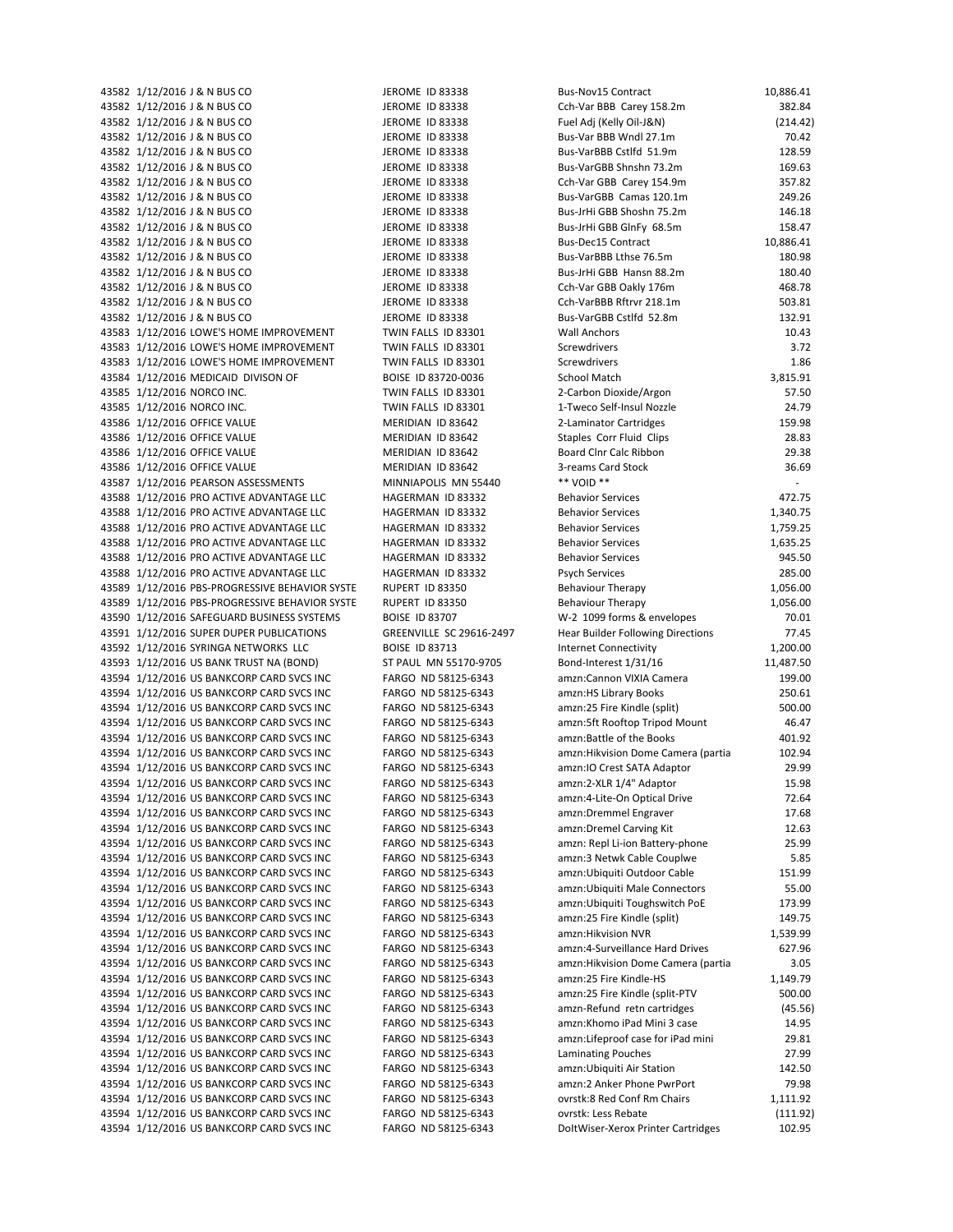43587 1/12/2016 PEARSON ASSESSMENTS MINNIAPOLIS MN 55440 \*\* VOID \*\*

43582 1/12/2016 J & N BUS CO **JEROME ID 83338** Bus-Nov15 Contract 10,886.41 43582 1/12/2016 J & N BUS CO JEROME ID 83338 Cch-Var BBB Carey 158.2m 382.84 43582 1/12/2016 J & N BUS CO JEROME ID 83338 Fuel Adj (Kelly Oil‐J&N) (214.42) 43582 1/12/2016 J & N BUS CO JEROME ID 83338 Bus‐Var BBB Wndl 27.1m 70.42 43582 1/12/2016 J & N BUS CO JEROME ID 83338 Bus-VarBBB Cstlfd 51.9m 128.59 128.59 43582 1/12/2016 J & N BUS CO JEROME ID 83338 Bus-VarGBB Shnshn 73.2m 169.63 43582 1/12/2016 J & N BUS CO **JEROME ID 83338** Cch-Var GBB Carey 154.9m 357.82 43582 1/12/2016 J & N BUS CO **JEROME ID 83338** Bus-VarGBB Camas 120.1m 249.26 43582 1/12/2016 J & N BUS CO JEROME ID 83338 Bus-JrHi GBB Shoshn 75.2m 146.18 43582 1/12/2016 J & N BUS CO **JEROME ID 83338** Bus-JrHi GBB GInFy 68.5m 158.47 43582 1/12/2016 J & N BUS CO JEROME ID 83338 Bus-Dec15 Contract 10,886.41 10,886.41 43582 1/12/2016 J & N BUS CO **JEROME ID 83338** Bus-VarBBB Lthse 76.5m **180.98** 43582 1/12/2016 J & N BUS CO JEROME ID 83338 Bus-JrHi GBB Hansn 88.2m 180.40 43582 1/12/2016 J & N BUS CO **JEROME ID 83338** Cch-Var GBB Oakly 176m 468.78 43582 1/12/2016 J & N BUS CO **JEROME ID 83338** Cch-VarBBB Rftrvr 218.1m 503.81 43582 1/12/2016 J & N BUS CO **JEROME ID 83338** Bus-VarGBB Cstlfd 52.8m 132.91 43583 1/12/2016 LOWE'S HOME IMPROVEMENT TWIN FALLS ID 83301 Wall Anchors 10.43 43583 1/12/2016 LOWE'S HOME IMPROVEMENT TWIN FALLS ID 83301 Screwdrivers 3.72 43583 1/12/2016 LOWE'S HOME IMPROVEMENT TWIN FALLS ID 83301 Screwdrivers 1.86 43584 1/12/2016 MEDICAID DIVISON OF BOISE ID 83720-0036 School Match 3,815.91 43585 1/12/2016 NORCO INC. TWIN FALLS ID 83301 2-Carbon Dioxide/Argon 57.50 43585 1/12/2016 NORCO INC. TWIN FALLS ID 83301 1-Tweco Self-Insul Nozzle 24.79 43586 1/12/2016 OFFICE VALUE MERIDIAN ID 83642 2-Laminator Cartridges 159.98 43586 1/12/2016 OFFICE VALUE **MERIDIAN ID 83642** Staples Corr Fluid Clips 28.83 43586 1/12/2016 OFFICE VALUE **MERIDIAN ID 83642** Board Clnr Calc Ribbon **1996** 29.38 43586 1/12/2016 OFFICE VALUE MERIDIAN ID 83642 36.69 3-reams Card Stock 36.69 43588 1/12/2016 PRO ACTIVE ADVANTAGE LLC HAGERMAN ID 83332 Behavior Services 472.75 43588 1/12/2016 PRO ACTIVE ADVANTAGE LLC HAGERMAN ID 83332 Behavior Services 1,340.75 43588 1/12/2016 PRO ACTIVE ADVANTAGE LLC **HAGERMAN ID 83332** Behavior Services 1,759.25 43588 1/12/2016 PRO ACTIVE ADVANTAGE LLC 
HAGERMAN ID 83332
Behavior Services

1,635.25

1,635.25 43588 1/12/2016 PRO ACTIVE ADVANTAGE LLC HAGERMAN ID 83332 Behavior Services 945.50 43588 1/12/2016 PRO ACTIVE ADVANTAGE LLC HAGERMAN ID 83332 Psych Services 285.00 43589 1/12/2016 PBS-PROGRESSIVE BEHAVIOR SYSTE RUPERT ID 83350 Behaviour Therapy 1,056.00 1,056.00 43589 1/12/2016 PBS-PROGRESSIVE BEHAVIOR SYSTE RUPERT ID 83350 Behaviour Therapy 1,056.00 43590 1/12/2016 SAFEGUARD BUSINESS SYSTEMS BOISE ID 83707 W-2 1099 forms & envelopes 70.01 43591 1/12/2016 SUPER DUPER PUBLICATIONS GREENVILLE SC 29616-2497 Hear Builder Following Directions 77.45 43592 1/12/2016 SYRINGA NETWORKS LLC BOISE ID 83713 Internet Connectivity 1,200.00 43593 1/12/2016 US BANK TRUST NA (BOND) ST PAUL MN 55170-9705 Bond-Interest 1/31/16 11,487.50 43594 1/12/2016 US BANKCORP CARD SVCS INC FARGO ND 58125-6343 amzn:Cannon VIXIA Camera 199.00 43594 1/12/2016 US BANKCORP CARD SVCS INC FARGO ND 58125-6343 amzn:HS Library Books 250.61 43594 1/12/2016 US BANKCORP CARD SVCS INC FARGO ND 58125‐6343 amzn:25 Fire Kindle (split) 500.00 43594 1/12/2016 US BANKCORP CARD SVCS INC FARGO ND 58125-6343 amzn:5ft Rooftop Tripod Mount 46.47 43594 1/12/2016 US BANKCORP CARD SVCS INC FARGO ND 58125-6343 amzn:Battle of the Books 401.92 43594 1/12/2016 US BANKCORP CARD SVCS INC FARGO ND 58125-6343 amzn: Hikvision Dome Camera (partia 102.94 43594 1/12/2016 US BANKCORP CARD SVCS INC FARGO ND 58125-6343 amzn:IO Crest SATA Adaptor 29.99 43594 1/12/2016 US BANKCORP CARD SVCS INC FARGO ND 58125-6343 amzn:2-XLR 1/4" Adaptor 15.98 43594 1/12/2016 US BANKCORP CARD SVCS INC FARGO ND 58125-6343 amzn:4-Lite-On Optical Drive 72.64 43594 1/12/2016 US BANKCORP CARD SVCS INC FARGO ND 58125-6343 amzn:Dremmel Engraver 17.68 43594 1/12/2016 US BANKCORP CARD SVCS INC FARGO ND 58125-6343 amzn:Dremel Carving Kit 12.63 43594 1/12/2016 US BANKCORP CARD SVCS INC FARGO ND 58125-6343 amzn: Repl Li-ion Battery-phone 25.99 43594 1/12/2016 US BANKCORP CARD SVCS INC FARGO ND 58125-6343 amzn:3 Netwk Cable Couplwe 5.85 43594 1/12/2016 US BANKCORP CARD SVCS INC FARGO ND 58125-6343 amzn:Ubiquiti Outdoor Cable 151.99 43594 1/12/2016 US BANKCORP CARD SVCS INC FARGO ND 58125-6343 amzn:Ubiquiti Male Connectors 55.00 43594 1/12/2016 US BANKCORP CARD SVCS INC FARGO ND 58125-6343 amzn:Ubiquiti Toughswitch PoE 173.99 43594 1/12/2016 US BANKCORP CARD SVCS INC FARGO ND 58125-6343 amzn:25 Fire Kindle (split) 149.75 43594 1/12/2016 US BANKCORP CARD SVCS INC FARGO ND 58125-6343 amzn: Hikvision NVR 1,539,99 43594 1/12/2016 US BANKCORP CARD SVCS INC FARGO ND 58125-6343 amzn:4-Surveillance Hard Drives 627.96 43594 1/12/2016 US BANKCORP CARD SVCS INC FARGO ND 58125‐6343 amzn:Hikvision Dome Camera (partia 3.05 43594 1/12/2016 US BANKCORP CARD SVCS INC FARGO ND 58125-6343 amzn:25 Fire Kindle-HS 1,149.79 43594 1/12/2016 US BANKCORP CARD SVCS INC FARGO ND 58125-6343 amzn:25 Fire Kindle (split-PTV 500.00 43594 1/12/2016 US BANKCORP CARD SVCS INC FARGO ND 58125-6343 amzn-Refund retn cartridges (45.56) 43594 1/12/2016 US BANKCORP CARD SVCS INC FARGO ND 58125‐6343 amzn:Khomo iPad Mini 3 case 14.95 43594 1/12/2016 US BANKCORP CARD SVCS INC FARGO ND 58125-6343 amzn:Lifeproof case for iPad mini 29.81 43594 1/12/2016 US BANKCORP CARD SVCS INC FARGO ND 58125-6343 Laminating Pouches 27.99 43594 1/12/2016 US BANKCORP CARD SVCS INC FARGO ND 58125-6343 amzn:Ubiquiti Air Station 142.50 43594 1/12/2016 US BANKCORP CARD SVCS INC FARGO ND 58125-6343 amzn:2 Anker Phone PwrPort 79.98 43594 1/12/2016 US BANKCORP CARD SVCS INC FARGO ND 58125‐6343 ovrstk:8 Red Conf Rm Chairs 1,111.92 43594 1/12/2016 US BANKCORP CARD SVCS INC FARGO ND 58125‐6343 ovrstk: Less Rebate (111.92) 43594 1/12/2016 US BANKCORP CARD SVCS INC FARGO ND 58125-6343 DoltWiser-Xerox Printer Cartridges 102.95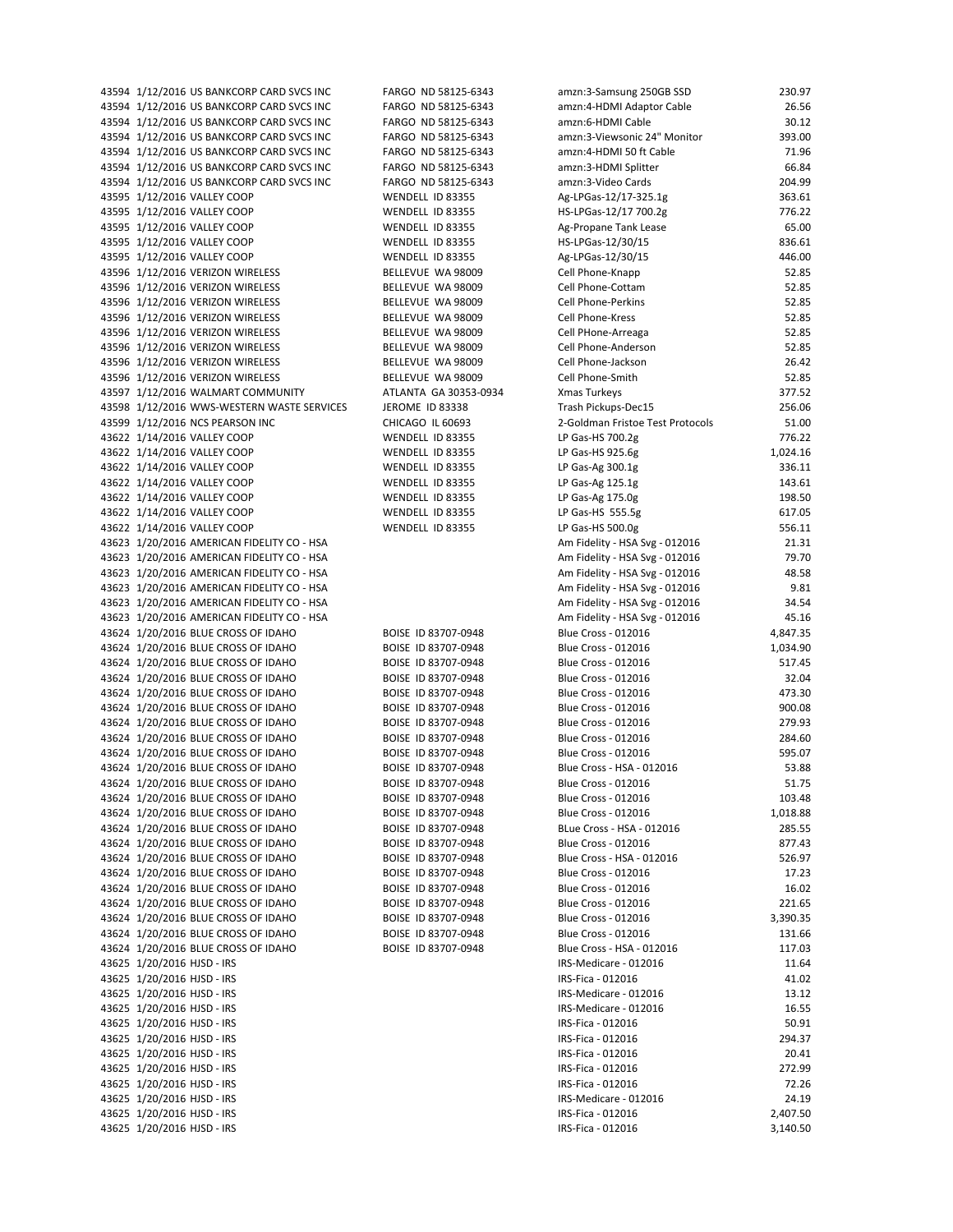| 43594 1/12/2016 US BANKCORP CARD SVCS INC  | FARGO ND 58125-6343   | amzn:3-Samsung 250GB SSD         | 230.97   |
|--------------------------------------------|-----------------------|----------------------------------|----------|
| 43594 1/12/2016 US BANKCORP CARD SVCS INC  | FARGO ND 58125-6343   | amzn:4-HDMI Adaptor Cable        | 26.56    |
| 43594 1/12/2016 US BANKCORP CARD SVCS INC  | FARGO ND 58125-6343   | amzn:6-HDMI Cable                | 30.12    |
| 43594 1/12/2016 US BANKCORP CARD SVCS INC  | FARGO ND 58125-6343   | amzn:3-Viewsonic 24" Monitor     | 393.00   |
| 43594 1/12/2016 US BANKCORP CARD SVCS INC  | FARGO ND 58125-6343   | amzn:4-HDMI 50 ft Cable          | 71.96    |
|                                            |                       |                                  |          |
| 43594 1/12/2016 US BANKCORP CARD SVCS INC  | FARGO ND 58125-6343   | amzn:3-HDMI Splitter             | 66.84    |
| 43594 1/12/2016 US BANKCORP CARD SVCS INC  | FARGO ND 58125-6343   | amzn:3-Video Cards               | 204.99   |
| 43595 1/12/2016 VALLEY COOP                | WENDELL ID 83355      | Ag-LPGas-12/17-325.1g            | 363.61   |
| 43595 1/12/2016 VALLEY COOP                | WENDELL ID 83355      | HS-LPGas-12/17 700.2g            | 776.22   |
| 43595 1/12/2016 VALLEY COOP                | WENDELL ID 83355      | Ag-Propane Tank Lease            | 65.00    |
| 43595 1/12/2016 VALLEY COOP                | WENDELL ID 83355      | HS-LPGas-12/30/15                | 836.61   |
| 43595 1/12/2016 VALLEY COOP                | WENDELL ID 83355      | Ag-LPGas-12/30/15                | 446.00   |
| 43596 1/12/2016 VERIZON WIRELESS           | BELLEVUE WA 98009     | Cell Phone-Knapp                 | 52.85    |
| 43596 1/12/2016 VERIZON WIRELESS           | BELLEVUE WA 98009     | Cell Phone-Cottam                | 52.85    |
|                                            |                       |                                  |          |
| 43596 1/12/2016 VERIZON WIRELESS           | BELLEVUE WA 98009     | <b>Cell Phone-Perkins</b>        | 52.85    |
| 43596 1/12/2016 VERIZON WIRELESS           | BELLEVUE WA 98009     | Cell Phone-Kress                 | 52.85    |
| 43596 1/12/2016 VERIZON WIRELESS           | BELLEVUE WA 98009     | Cell PHone-Arreaga               | 52.85    |
| 43596 1/12/2016 VERIZON WIRELESS           | BELLEVUE WA 98009     | Cell Phone-Anderson              | 52.85    |
| 43596 1/12/2016 VERIZON WIRELESS           | BELLEVUE WA 98009     | Cell Phone-Jackson               | 26.42    |
| 43596 1/12/2016 VERIZON WIRELESS           | BELLEVUE WA 98009     | Cell Phone-Smith                 | 52.85    |
| 43597 1/12/2016 WALMART COMMUNITY          | ATLANTA GA 30353-0934 | <b>Xmas Turkeys</b>              | 377.52   |
| 43598 1/12/2016 WWS-WESTERN WASTE SERVICES | JEROME ID 83338       | Trash Pickups-Dec15              | 256.06   |
| 43599 1/12/2016 NCS PEARSON INC            |                       |                                  | 51.00    |
|                                            | CHICAGO IL 60693      | 2-Goldman Fristoe Test Protocols |          |
| 43622 1/14/2016 VALLEY COOP                | WENDELL ID 83355      | LP Gas-HS 700.2g                 | 776.22   |
| 43622 1/14/2016 VALLEY COOP                | WENDELL ID 83355      | LP Gas-HS 925.6g                 | 1,024.16 |
| 43622 1/14/2016 VALLEY COOP                | WENDELL ID 83355      | LP Gas-Ag 300.1g                 | 336.11   |
| 43622 1/14/2016 VALLEY COOP                | WENDELL ID 83355      | LP Gas-Ag 125.1g                 | 143.61   |
| 43622 1/14/2016 VALLEY COOP                | WENDELL ID 83355      | LP Gas-Ag 175.0g                 | 198.50   |
| 43622 1/14/2016 VALLEY COOP                | WENDELL ID 83355      | LP Gas-HS 555.5g                 | 617.05   |
| 43622 1/14/2016 VALLEY COOP                | WENDELL ID 83355      | LP Gas-HS 500.0g                 | 556.11   |
| 43623 1/20/2016 AMERICAN FIDELITY CO - HSA |                       |                                  | 21.31    |
|                                            |                       | Am Fidelity - HSA Svg - 012016   |          |
| 43623 1/20/2016 AMERICAN FIDELITY CO - HSA |                       | Am Fidelity - HSA Svg - 012016   | 79.70    |
| 43623 1/20/2016 AMERICAN FIDELITY CO - HSA |                       | Am Fidelity - HSA Svg - 012016   | 48.58    |
| 43623 1/20/2016 AMERICAN FIDELITY CO - HSA |                       | Am Fidelity - HSA Svg - 012016   | 9.81     |
| 43623 1/20/2016 AMERICAN FIDELITY CO - HSA |                       | Am Fidelity - HSA Svg - 012016   | 34.54    |
| 43623 1/20/2016 AMERICAN FIDELITY CO - HSA |                       | Am Fidelity - HSA Svg - 012016   | 45.16    |
| 43624 1/20/2016 BLUE CROSS OF IDAHO        | BOISE ID 83707-0948   | Blue Cross - 012016              | 4,847.35 |
| 43624 1/20/2016 BLUE CROSS OF IDAHO        | BOISE ID 83707-0948   | Blue Cross - 012016              | 1,034.90 |
| 43624 1/20/2016 BLUE CROSS OF IDAHO        | BOISE ID 83707-0948   | Blue Cross - 012016              | 517.45   |
|                                            |                       |                                  |          |
| 43624 1/20/2016 BLUE CROSS OF IDAHO        | BOISE ID 83707-0948   | Blue Cross - 012016              | 32.04    |
| 43624 1/20/2016 BLUE CROSS OF IDAHO        | BOISE ID 83707-0948   | <b>Blue Cross - 012016</b>       | 473.30   |
| 43624 1/20/2016 BLUE CROSS OF IDAHO        | BOISE ID 83707-0948   | <b>Blue Cross - 012016</b>       | 900.08   |
| 43624 1/20/2016 BLUE CROSS OF IDAHO        | BOISE ID 83707-0948   | Blue Cross - 012016              | 279.93   |
| 43624 1/20/2016 BLUE CROSS OF IDAHO        | BOISE ID 83707-0948   | <b>Blue Cross - 012016</b>       | 284.60   |
| 43624 1/20/2016 BLUE CROSS OF IDAHO        | BOISE ID 83707-0948   | <b>Blue Cross - 012016</b>       | 595.07   |
| 43624 1/20/2016 BLUE CROSS OF IDAHO        | BOISE ID 83707-0948   | Blue Cross - HSA - 012016        | 53.88    |
| 43624 1/20/2016 BLUE CROSS OF IDAHO        | BOISE ID 83707-0948   | Blue Cross - 012016              | 51.75    |
|                                            |                       |                                  |          |
| 43624 1/20/2016 BLUE CROSS OF IDAHO        | BOISE ID 83707-0948   | Blue Cross - 012016              | 103.48   |
| 43624 1/20/2016 BLUE CROSS OF IDAHO        | BOISE ID 83707-0948   | <b>Blue Cross - 012016</b>       | 1,018.88 |
| 43624 1/20/2016 BLUE CROSS OF IDAHO        | BOISE ID 83707-0948   | BLue Cross - HSA - 012016        | 285.55   |
| 43624 1/20/2016 BLUE CROSS OF IDAHO        | BOISE ID 83707-0948   | <b>Blue Cross - 012016</b>       | 877.43   |
| 43624 1/20/2016 BLUE CROSS OF IDAHO        | BOISE ID 83707-0948   | Blue Cross - HSA - 012016        | 526.97   |
| 43624 1/20/2016 BLUE CROSS OF IDAHO        | BOISE ID 83707-0948   | <b>Blue Cross - 012016</b>       | 17.23    |
| 43624 1/20/2016 BLUE CROSS OF IDAHO        | BOISE ID 83707-0948   | <b>Blue Cross - 012016</b>       | 16.02    |
|                                            |                       | <b>Blue Cross - 012016</b>       |          |
| 43624 1/20/2016 BLUE CROSS OF IDAHO        | BOISE ID 83707-0948   |                                  | 221.65   |
| 43624 1/20/2016 BLUE CROSS OF IDAHO        | BOISE ID 83707-0948   | <b>Blue Cross - 012016</b>       | 3,390.35 |
| 43624 1/20/2016 BLUE CROSS OF IDAHO        | BOISE ID 83707-0948   | <b>Blue Cross - 012016</b>       | 131.66   |
| 43624 1/20/2016 BLUE CROSS OF IDAHO        | BOISE ID 83707-0948   | Blue Cross - HSA - 012016        | 117.03   |
| 43625 1/20/2016 HJSD - IRS                 |                       | IRS-Medicare - 012016            | 11.64    |
| 43625 1/20/2016 HJSD - IRS                 |                       | IRS-Fica - 012016                | 41.02    |
| 43625 1/20/2016 HJSD - IRS                 |                       | IRS-Medicare - 012016            | 13.12    |
| 43625 1/20/2016 HJSD - IRS                 |                       | IRS-Medicare - 012016            | 16.55    |
|                                            |                       |                                  |          |
| 43625 1/20/2016 HJSD - IRS                 |                       | IRS-Fica - 012016                | 50.91    |
| 43625 1/20/2016 HJSD - IRS                 |                       | IRS-Fica - 012016                | 294.37   |
| 43625 1/20/2016 HJSD - IRS                 |                       | IRS-Fica - 012016                | 20.41    |
| 43625 1/20/2016 HJSD - IRS                 |                       | IRS-Fica - 012016                | 272.99   |
| 43625 1/20/2016 HJSD - IRS                 |                       | IRS-Fica - 012016                | 72.26    |
| 43625 1/20/2016 HJSD - IRS                 |                       | IRS-Medicare - 012016            | 24.19    |
| 43625 1/20/2016 HJSD - IRS                 |                       | IRS-Fica - 012016                | 2,407.50 |
| 43625 1/20/2016 HJSD - IRS                 |                       |                                  | 3,140.50 |
|                                            |                       | IRS-Fica - 012016                |          |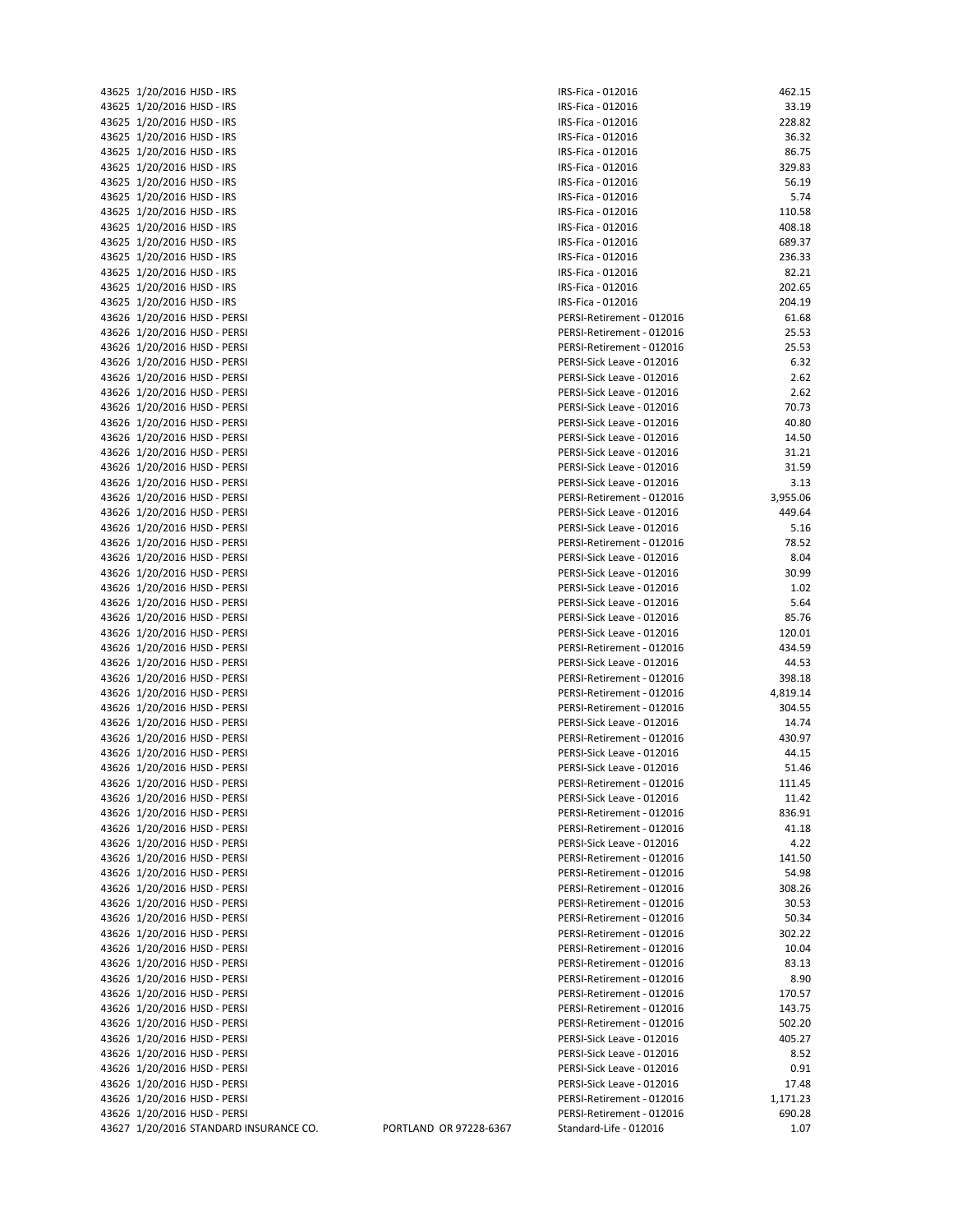| 43625 | 1/20/2016 HJSD - IRS      |
|-------|---------------------------|
| 43625 | 1/20/2016 HJSD - IRS      |
| 43625 | 1/20/2016 HJSD - IRS      |
| 43625 | 1/20/2016 HJSD - IRS      |
| 43625 | 1/20/2016 HJSD - IRS      |
| 43625 | 1/20/2016 HJSD - IRS      |
| 43625 | 1/20/2016 HJSD - IRS      |
| 43625 | 1/20/2016 HJSD - IRS      |
| 43625 | 1/20/2016 HJSD - IRS      |
| 43625 | 1/20/2016 HJSD - IRS      |
| 43625 | 1/20/2016 HJSD - IRS      |
| 43625 | 1/20/2016 HJSD - IRS      |
| 43625 | 1/20/2016 HJSD - IRS      |
| 43625 | 1/20/2016 HJSD - IRS      |
| 43625 | 1/20/2016 HJSD - IRS      |
| 43626 | 1/20/2016 HJSD - PERSI    |
| 43626 | 1/20/2016 HJSD - PERSI    |
| 43626 | 1/20/2016 HJSD - PERSI    |
| 43626 | 1/20/2016 HJSD - PERSI    |
| 43626 | 1/20/2016 HJSD - PERSI    |
| 43626 | 1/20/2016 HJSD - PERSI    |
| 43626 | 1/20/2016 HJSD - PERSI    |
| 43626 | 1/20/2016 HJSD - PERSI    |
| 43626 | 1/20/2016 HJSD - PERSI    |
| 43626 | 1/20/2016 HJSD - PERSI    |
| 43626 | 1/20/2016 HJSD - PERSI    |
|       | 1/20/2016 HJSD - PERSI    |
| 43626 |                           |
| 43626 | 1/20/2016 HJSD - PERSI    |
| 43626 | 1/20/2016 HJSD - PERSI    |
| 43626 | 1/20/2016 HJSD - PERSI    |
| 43626 | 1/20/2016 HJSD - PERSI    |
| 43626 | 1/20/2016 HJSD - PERSI    |
| 43626 | 1/20/2016 HJSD - PERSI    |
| 43626 | 1/20/2016 HJSD - PERSI    |
| 43626 | 1/20/2016 HJSD - PERSI    |
| 43626 | 1/20/2016 HJSD - PERSI    |
| 43626 | 1/20/2016 HJSD - PERSI    |
| 43626 | 1/20/2016 HJSD - PERSI    |
| 43626 | 1/20/2016 HJSD - PERSI    |
| 43626 | 1/20/2016 HJSD - PERSI    |
| 43626 | 1/20/2016 HJSD - PERSI    |
| 43626 | 1/20/2016 HJSD - PERSI    |
| 43626 | 1/20/2016 HJSD - PERSI    |
| 43626 | 1/20/2016 HJSD - PERSI    |
| 43626 | 1/20/2016 HJSD - PERSI    |
| 43626 | 1/20/2016 HJSD - PERSI    |
| 43626 | 1/20/2016 HJSD - PERSI    |
| 43626 | 1/20/2016 HJSD - PERSI    |
| 43626 | 1/20/2016<br>HJSD - PERSI |
| 43626 | 1/20/2016 HJSD - PERSI    |
| 43626 | 1/20/2016 HJSD - PERSI    |
| 43626 | HJSD - PERSI<br>1/20/2016 |
| 43626 | 1/20/2016 HJSD - PERSI    |
| 43626 | 1/20/2016<br>HJSD - PERSI |
| 43626 | HJSD - PERSI<br>1/20/2016 |
| 43626 | 1/20/2016<br>HJSD - PERSI |
| 43626 | HJSD - PERSI<br>1/20/2016 |
| 43626 | 1/20/2016<br>HJSD - PERSI |
| 43626 | 1/20/2016<br>HJSD - PERSI |
| 43626 | HJSD - PERSI<br>1/20/2016 |
| 43626 | HJSD - PERSI<br>1/20/2016 |
| 43626 | HJSD - PERSI<br>1/20/2016 |
| 43626 | 1/20/2016 HJSD - PERSI    |
| 43626 | 1/20/2016 HJSD - PERSI    |
| 43626 | HJSD - PERSI<br>1/20/2016 |
| 43626 | 1/20/2016 HJSD - PERSI    |
| 43626 | 1/20/2016<br>HJSD - PERSI |
| 43626 | 1/20/2016 HJSD - PERSI    |
| 43626 | 1/20/2016 HJSD - PERSI    |
| 43627 | 1/20/2016 STANDARD INSI   |

| 43625 1/20/2016 HJSD - IRS<br>IRS-Fica - 012016<br>43625 1/20/2016 HJSD - IRS<br>IRS-Fica - 012016<br>43625 1/20/2016 HJSD - IRS<br>IRS-Fica - 012016<br>43625 1/20/2016 HJSD - IRS<br>IRS-Fica - 012016<br>43625 1/20/2016 HJSD - IRS<br>IRS-Fica - 012016<br>43625 1/20/2016 HJSD - IRS<br>IRS-Fica - 012016<br>43625 1/20/2016 HJSD - IRS<br>IRS-Fica - 012016<br>43625 1/20/2016 HJSD - IRS<br>IRS-Fica - 012016<br>43625 1/20/2016 HJSD - IRS<br>IRS-Fica - 012016<br>43625 1/20/2016 HJSD - IRS<br>IRS-Fica - 012016<br>43625 1/20/2016 HJSD - IRS<br>689.37<br>IRS-Fica - 012016<br>43625 1/20/2016 HJSD - IRS<br>IRS-Fica - 012016<br>43625 1/20/2016 HJSD - IRS<br>IRS-Fica - 012016<br>43625 1/20/2016 HJSD - IRS<br>IRS-Fica - 012016<br>43625 1/20/2016 HJSD - IRS<br>204.19<br>IRS-Fica - 012016<br>43626 1/20/2016 HJSD - PERSI<br>PERSI-Retirement - 012016<br>43626 1/20/2016 HJSD - PERSI<br>PERSI-Retirement - 012016<br>43626 1/20/2016 HJSD - PERSI<br>PERSI-Retirement - 012016<br>43626 1/20/2016 HJSD - PERSI<br>PERSI-Sick Leave - 012016<br>43626 1/20/2016 HJSD - PERSI<br>PERSI-Sick Leave - 012016<br>43626 1/20/2016 HJSD - PERSI<br>PERSI-Sick Leave - 012016<br>43626 1/20/2016 HJSD - PERSI<br>PERSI-Sick Leave - 012016<br>43626 1/20/2016 HJSD - PERSI<br>PERSI-Sick Leave - 012016<br>43626 1/20/2016 HJSD - PERSI<br>PERSI-Sick Leave - 012016<br>43626 1/20/2016 HJSD - PERSI<br>PERSI-Sick Leave - 012016<br>43626 1/20/2016 HJSD - PERSI<br>PERSI-Sick Leave - 012016<br>43626 1/20/2016 HJSD - PERSI<br>PERSI-Sick Leave - 012016<br>43626 1/20/2016 HJSD - PERSI<br>PERSI-Retirement - 012016<br>43626 1/20/2016 HJSD - PERSI<br>PERSI-Sick Leave - 012016<br>43626 1/20/2016 HJSD - PERSI<br>PERSI-Sick Leave - 012016<br>43626 1/20/2016 HJSD - PERSI<br>PERSI-Retirement - 012016<br>43626 1/20/2016 HJSD - PERSI<br>PERSI-Sick Leave - 012016<br>43626 1/20/2016 HJSD - PERSI<br>PERSI-Sick Leave - 012016<br>43626 1/20/2016 HJSD - PERSI<br>PERSI-Sick Leave - 012016<br>43626 1/20/2016 HJSD - PERSI<br>PERSI-Sick Leave - 012016<br>43626 1/20/2016 HJSD - PERSI<br>PERSI-Sick Leave - 012016<br>43626 1/20/2016 HJSD - PERSI<br>PERSI-Sick Leave - 012016<br>43626 1/20/2016 HJSD - PERSI<br>PERSI-Retirement - 012016<br>43626 1/20/2016 HJSD - PERSI<br>PERSI-Sick Leave - 012016<br>43626 1/20/2016 HJSD - PERSI<br>PERSI-Retirement - 012016<br>43626 1/20/2016 HJSD - PERSI<br>4,819.14<br>PERSI-Retirement - 012016<br>43626 1/20/2016 HJSD - PERSI<br>PERSI-Retirement - 012016<br>43626 1/20/2016 HJSD - PERSI<br>PERSI-Sick Leave - 012016<br>43626 1/20/2016 HJSD - PERSI<br>PERSI-Retirement - 012016<br>43626 1/20/2016 HJSD - PERSI<br>PERSI-Sick Leave - 012016<br>43626 1/20/2016 HJSD - PERSI<br>PERSI-Sick Leave - 012016<br>43626 1/20/2016 HJSD - PERSI<br>PERSI-Retirement - 012016<br>43626 1/20/2016 HJSD - PERSI<br>PERSI-Sick Leave - 012016<br>43626 1/20/2016 HJSD - PERSI<br>PERSI-Retirement - 012016<br>43626 1/20/2016 HJSD - PERSI<br>PERSI-Retirement - 012016<br>43626 1/20/2016 HJSD - PERSI<br>PERSI-Sick Leave - 012016<br>43626 1/20/2016 HJSD - PERSI<br>PERSI-Retirement - 012016<br>43626 1/20/2016 HJSD - PERSI<br>PERSI-Retirement - 012016<br>43626 1/20/2016 HJSD - PERSI<br>PERSI-Retirement - 012016<br>43626 1/20/2016 HJSD - PERSI<br>PERSI-Retirement - 012016<br>43626 1/20/2016 HJSD - PERSI<br>PERSI-Retirement - 012016<br>43626 1/20/2016 HJSD - PERSI<br>PERSI-Retirement - 012016<br>43626 1/20/2016 HJSD - PERSI<br>PERSI-Retirement - 012016<br>43626 1/20/2016 HJSD - PERSI<br>PERSI-Retirement - 012016<br>43626 1/20/2016 HJSD - PERSI<br>PERSI-Retirement - 012016<br>43626 1/20/2016 HJSD - PERSI<br>PERSI-Retirement - 012016<br>43626 1/20/2016 HJSD - PERSI<br>PERSI-Retirement - 012016<br>43626 1/20/2016 HJSD - PERSI<br>PERSI-Retirement - 012016<br>43626 1/20/2016 HJSD - PERSI<br>PERSI-Sick Leave - 012016<br>43626 1/20/2016 HJSD - PERSI<br>PERSI-Sick Leave - 012016<br>43626 1/20/2016 HJSD - PERSI<br>PERSI-Sick Leave - 012016<br>43626 1/20/2016 HJSD - PERSI<br>PERSI-Sick Leave - 012016<br>43626 1/20/2016 HJSD - PERSI<br>PERSI-Retirement - 012016<br>43626 1/20/2016 HJSD - PERSI<br>PERSI-Retirement - 012016<br>43627 1/20/2016 STANDARD INSURANCE CO.<br>PORTLAND OR 97228-6367<br>Standard-Life - 012016 |  |          |
|-------------------------------------------------------------------------------------------------------------------------------------------------------------------------------------------------------------------------------------------------------------------------------------------------------------------------------------------------------------------------------------------------------------------------------------------------------------------------------------------------------------------------------------------------------------------------------------------------------------------------------------------------------------------------------------------------------------------------------------------------------------------------------------------------------------------------------------------------------------------------------------------------------------------------------------------------------------------------------------------------------------------------------------------------------------------------------------------------------------------------------------------------------------------------------------------------------------------------------------------------------------------------------------------------------------------------------------------------------------------------------------------------------------------------------------------------------------------------------------------------------------------------------------------------------------------------------------------------------------------------------------------------------------------------------------------------------------------------------------------------------------------------------------------------------------------------------------------------------------------------------------------------------------------------------------------------------------------------------------------------------------------------------------------------------------------------------------------------------------------------------------------------------------------------------------------------------------------------------------------------------------------------------------------------------------------------------------------------------------------------------------------------------------------------------------------------------------------------------------------------------------------------------------------------------------------------------------------------------------------------------------------------------------------------------------------------------------------------------------------------------------------------------------------------------------------------------------------------------------------------------------------------------------------------------------------------------------------------------------------------------------------------------------------------------------------------------------------------------------------------------------------------------------------------------------------------------------------------------------------------------------------------------------------------------------------------------------------------------------------------------------------------------------------------------------------------------------------------------------------------------------------------------------------------------------------------------------------------------------------------------------------------------------------------------------------------------------------------------------------------------------------------------------------------------------------------------------------------------------------------------------------------------------------------------------------------------------------------------------------------------------------------------------------------------------------------------------------------------------------------------------------------------------------------------------------------------------------------------------------------------------------------------------------------------------------------------------------------------|--|----------|
|                                                                                                                                                                                                                                                                                                                                                                                                                                                                                                                                                                                                                                                                                                                                                                                                                                                                                                                                                                                                                                                                                                                                                                                                                                                                                                                                                                                                                                                                                                                                                                                                                                                                                                                                                                                                                                                                                                                                                                                                                                                                                                                                                                                                                                                                                                                                                                                                                                                                                                                                                                                                                                                                                                                                                                                                                                                                                                                                                                                                                                                                                                                                                                                                                                                                                                                                                                                                                                                                                                                                                                                                                                                                                                                                                                                                                                                                                                                                                                                                                                                                                                                                                                                                                                                                                                                                                       |  | 462.15   |
|                                                                                                                                                                                                                                                                                                                                                                                                                                                                                                                                                                                                                                                                                                                                                                                                                                                                                                                                                                                                                                                                                                                                                                                                                                                                                                                                                                                                                                                                                                                                                                                                                                                                                                                                                                                                                                                                                                                                                                                                                                                                                                                                                                                                                                                                                                                                                                                                                                                                                                                                                                                                                                                                                                                                                                                                                                                                                                                                                                                                                                                                                                                                                                                                                                                                                                                                                                                                                                                                                                                                                                                                                                                                                                                                                                                                                                                                                                                                                                                                                                                                                                                                                                                                                                                                                                                                                       |  | 33.19    |
|                                                                                                                                                                                                                                                                                                                                                                                                                                                                                                                                                                                                                                                                                                                                                                                                                                                                                                                                                                                                                                                                                                                                                                                                                                                                                                                                                                                                                                                                                                                                                                                                                                                                                                                                                                                                                                                                                                                                                                                                                                                                                                                                                                                                                                                                                                                                                                                                                                                                                                                                                                                                                                                                                                                                                                                                                                                                                                                                                                                                                                                                                                                                                                                                                                                                                                                                                                                                                                                                                                                                                                                                                                                                                                                                                                                                                                                                                                                                                                                                                                                                                                                                                                                                                                                                                                                                                       |  | 228.82   |
|                                                                                                                                                                                                                                                                                                                                                                                                                                                                                                                                                                                                                                                                                                                                                                                                                                                                                                                                                                                                                                                                                                                                                                                                                                                                                                                                                                                                                                                                                                                                                                                                                                                                                                                                                                                                                                                                                                                                                                                                                                                                                                                                                                                                                                                                                                                                                                                                                                                                                                                                                                                                                                                                                                                                                                                                                                                                                                                                                                                                                                                                                                                                                                                                                                                                                                                                                                                                                                                                                                                                                                                                                                                                                                                                                                                                                                                                                                                                                                                                                                                                                                                                                                                                                                                                                                                                                       |  | 36.32    |
|                                                                                                                                                                                                                                                                                                                                                                                                                                                                                                                                                                                                                                                                                                                                                                                                                                                                                                                                                                                                                                                                                                                                                                                                                                                                                                                                                                                                                                                                                                                                                                                                                                                                                                                                                                                                                                                                                                                                                                                                                                                                                                                                                                                                                                                                                                                                                                                                                                                                                                                                                                                                                                                                                                                                                                                                                                                                                                                                                                                                                                                                                                                                                                                                                                                                                                                                                                                                                                                                                                                                                                                                                                                                                                                                                                                                                                                                                                                                                                                                                                                                                                                                                                                                                                                                                                                                                       |  |          |
|                                                                                                                                                                                                                                                                                                                                                                                                                                                                                                                                                                                                                                                                                                                                                                                                                                                                                                                                                                                                                                                                                                                                                                                                                                                                                                                                                                                                                                                                                                                                                                                                                                                                                                                                                                                                                                                                                                                                                                                                                                                                                                                                                                                                                                                                                                                                                                                                                                                                                                                                                                                                                                                                                                                                                                                                                                                                                                                                                                                                                                                                                                                                                                                                                                                                                                                                                                                                                                                                                                                                                                                                                                                                                                                                                                                                                                                                                                                                                                                                                                                                                                                                                                                                                                                                                                                                                       |  | 86.75    |
|                                                                                                                                                                                                                                                                                                                                                                                                                                                                                                                                                                                                                                                                                                                                                                                                                                                                                                                                                                                                                                                                                                                                                                                                                                                                                                                                                                                                                                                                                                                                                                                                                                                                                                                                                                                                                                                                                                                                                                                                                                                                                                                                                                                                                                                                                                                                                                                                                                                                                                                                                                                                                                                                                                                                                                                                                                                                                                                                                                                                                                                                                                                                                                                                                                                                                                                                                                                                                                                                                                                                                                                                                                                                                                                                                                                                                                                                                                                                                                                                                                                                                                                                                                                                                                                                                                                                                       |  | 329.83   |
|                                                                                                                                                                                                                                                                                                                                                                                                                                                                                                                                                                                                                                                                                                                                                                                                                                                                                                                                                                                                                                                                                                                                                                                                                                                                                                                                                                                                                                                                                                                                                                                                                                                                                                                                                                                                                                                                                                                                                                                                                                                                                                                                                                                                                                                                                                                                                                                                                                                                                                                                                                                                                                                                                                                                                                                                                                                                                                                                                                                                                                                                                                                                                                                                                                                                                                                                                                                                                                                                                                                                                                                                                                                                                                                                                                                                                                                                                                                                                                                                                                                                                                                                                                                                                                                                                                                                                       |  | 56.19    |
|                                                                                                                                                                                                                                                                                                                                                                                                                                                                                                                                                                                                                                                                                                                                                                                                                                                                                                                                                                                                                                                                                                                                                                                                                                                                                                                                                                                                                                                                                                                                                                                                                                                                                                                                                                                                                                                                                                                                                                                                                                                                                                                                                                                                                                                                                                                                                                                                                                                                                                                                                                                                                                                                                                                                                                                                                                                                                                                                                                                                                                                                                                                                                                                                                                                                                                                                                                                                                                                                                                                                                                                                                                                                                                                                                                                                                                                                                                                                                                                                                                                                                                                                                                                                                                                                                                                                                       |  |          |
|                                                                                                                                                                                                                                                                                                                                                                                                                                                                                                                                                                                                                                                                                                                                                                                                                                                                                                                                                                                                                                                                                                                                                                                                                                                                                                                                                                                                                                                                                                                                                                                                                                                                                                                                                                                                                                                                                                                                                                                                                                                                                                                                                                                                                                                                                                                                                                                                                                                                                                                                                                                                                                                                                                                                                                                                                                                                                                                                                                                                                                                                                                                                                                                                                                                                                                                                                                                                                                                                                                                                                                                                                                                                                                                                                                                                                                                                                                                                                                                                                                                                                                                                                                                                                                                                                                                                                       |  | 5.74     |
|                                                                                                                                                                                                                                                                                                                                                                                                                                                                                                                                                                                                                                                                                                                                                                                                                                                                                                                                                                                                                                                                                                                                                                                                                                                                                                                                                                                                                                                                                                                                                                                                                                                                                                                                                                                                                                                                                                                                                                                                                                                                                                                                                                                                                                                                                                                                                                                                                                                                                                                                                                                                                                                                                                                                                                                                                                                                                                                                                                                                                                                                                                                                                                                                                                                                                                                                                                                                                                                                                                                                                                                                                                                                                                                                                                                                                                                                                                                                                                                                                                                                                                                                                                                                                                                                                                                                                       |  | 110.58   |
|                                                                                                                                                                                                                                                                                                                                                                                                                                                                                                                                                                                                                                                                                                                                                                                                                                                                                                                                                                                                                                                                                                                                                                                                                                                                                                                                                                                                                                                                                                                                                                                                                                                                                                                                                                                                                                                                                                                                                                                                                                                                                                                                                                                                                                                                                                                                                                                                                                                                                                                                                                                                                                                                                                                                                                                                                                                                                                                                                                                                                                                                                                                                                                                                                                                                                                                                                                                                                                                                                                                                                                                                                                                                                                                                                                                                                                                                                                                                                                                                                                                                                                                                                                                                                                                                                                                                                       |  | 408.18   |
|                                                                                                                                                                                                                                                                                                                                                                                                                                                                                                                                                                                                                                                                                                                                                                                                                                                                                                                                                                                                                                                                                                                                                                                                                                                                                                                                                                                                                                                                                                                                                                                                                                                                                                                                                                                                                                                                                                                                                                                                                                                                                                                                                                                                                                                                                                                                                                                                                                                                                                                                                                                                                                                                                                                                                                                                                                                                                                                                                                                                                                                                                                                                                                                                                                                                                                                                                                                                                                                                                                                                                                                                                                                                                                                                                                                                                                                                                                                                                                                                                                                                                                                                                                                                                                                                                                                                                       |  |          |
|                                                                                                                                                                                                                                                                                                                                                                                                                                                                                                                                                                                                                                                                                                                                                                                                                                                                                                                                                                                                                                                                                                                                                                                                                                                                                                                                                                                                                                                                                                                                                                                                                                                                                                                                                                                                                                                                                                                                                                                                                                                                                                                                                                                                                                                                                                                                                                                                                                                                                                                                                                                                                                                                                                                                                                                                                                                                                                                                                                                                                                                                                                                                                                                                                                                                                                                                                                                                                                                                                                                                                                                                                                                                                                                                                                                                                                                                                                                                                                                                                                                                                                                                                                                                                                                                                                                                                       |  |          |
|                                                                                                                                                                                                                                                                                                                                                                                                                                                                                                                                                                                                                                                                                                                                                                                                                                                                                                                                                                                                                                                                                                                                                                                                                                                                                                                                                                                                                                                                                                                                                                                                                                                                                                                                                                                                                                                                                                                                                                                                                                                                                                                                                                                                                                                                                                                                                                                                                                                                                                                                                                                                                                                                                                                                                                                                                                                                                                                                                                                                                                                                                                                                                                                                                                                                                                                                                                                                                                                                                                                                                                                                                                                                                                                                                                                                                                                                                                                                                                                                                                                                                                                                                                                                                                                                                                                                                       |  | 236.33   |
|                                                                                                                                                                                                                                                                                                                                                                                                                                                                                                                                                                                                                                                                                                                                                                                                                                                                                                                                                                                                                                                                                                                                                                                                                                                                                                                                                                                                                                                                                                                                                                                                                                                                                                                                                                                                                                                                                                                                                                                                                                                                                                                                                                                                                                                                                                                                                                                                                                                                                                                                                                                                                                                                                                                                                                                                                                                                                                                                                                                                                                                                                                                                                                                                                                                                                                                                                                                                                                                                                                                                                                                                                                                                                                                                                                                                                                                                                                                                                                                                                                                                                                                                                                                                                                                                                                                                                       |  | 82.21    |
|                                                                                                                                                                                                                                                                                                                                                                                                                                                                                                                                                                                                                                                                                                                                                                                                                                                                                                                                                                                                                                                                                                                                                                                                                                                                                                                                                                                                                                                                                                                                                                                                                                                                                                                                                                                                                                                                                                                                                                                                                                                                                                                                                                                                                                                                                                                                                                                                                                                                                                                                                                                                                                                                                                                                                                                                                                                                                                                                                                                                                                                                                                                                                                                                                                                                                                                                                                                                                                                                                                                                                                                                                                                                                                                                                                                                                                                                                                                                                                                                                                                                                                                                                                                                                                                                                                                                                       |  | 202.65   |
|                                                                                                                                                                                                                                                                                                                                                                                                                                                                                                                                                                                                                                                                                                                                                                                                                                                                                                                                                                                                                                                                                                                                                                                                                                                                                                                                                                                                                                                                                                                                                                                                                                                                                                                                                                                                                                                                                                                                                                                                                                                                                                                                                                                                                                                                                                                                                                                                                                                                                                                                                                                                                                                                                                                                                                                                                                                                                                                                                                                                                                                                                                                                                                                                                                                                                                                                                                                                                                                                                                                                                                                                                                                                                                                                                                                                                                                                                                                                                                                                                                                                                                                                                                                                                                                                                                                                                       |  |          |
|                                                                                                                                                                                                                                                                                                                                                                                                                                                                                                                                                                                                                                                                                                                                                                                                                                                                                                                                                                                                                                                                                                                                                                                                                                                                                                                                                                                                                                                                                                                                                                                                                                                                                                                                                                                                                                                                                                                                                                                                                                                                                                                                                                                                                                                                                                                                                                                                                                                                                                                                                                                                                                                                                                                                                                                                                                                                                                                                                                                                                                                                                                                                                                                                                                                                                                                                                                                                                                                                                                                                                                                                                                                                                                                                                                                                                                                                                                                                                                                                                                                                                                                                                                                                                                                                                                                                                       |  |          |
|                                                                                                                                                                                                                                                                                                                                                                                                                                                                                                                                                                                                                                                                                                                                                                                                                                                                                                                                                                                                                                                                                                                                                                                                                                                                                                                                                                                                                                                                                                                                                                                                                                                                                                                                                                                                                                                                                                                                                                                                                                                                                                                                                                                                                                                                                                                                                                                                                                                                                                                                                                                                                                                                                                                                                                                                                                                                                                                                                                                                                                                                                                                                                                                                                                                                                                                                                                                                                                                                                                                                                                                                                                                                                                                                                                                                                                                                                                                                                                                                                                                                                                                                                                                                                                                                                                                                                       |  | 61.68    |
|                                                                                                                                                                                                                                                                                                                                                                                                                                                                                                                                                                                                                                                                                                                                                                                                                                                                                                                                                                                                                                                                                                                                                                                                                                                                                                                                                                                                                                                                                                                                                                                                                                                                                                                                                                                                                                                                                                                                                                                                                                                                                                                                                                                                                                                                                                                                                                                                                                                                                                                                                                                                                                                                                                                                                                                                                                                                                                                                                                                                                                                                                                                                                                                                                                                                                                                                                                                                                                                                                                                                                                                                                                                                                                                                                                                                                                                                                                                                                                                                                                                                                                                                                                                                                                                                                                                                                       |  | 25.53    |
|                                                                                                                                                                                                                                                                                                                                                                                                                                                                                                                                                                                                                                                                                                                                                                                                                                                                                                                                                                                                                                                                                                                                                                                                                                                                                                                                                                                                                                                                                                                                                                                                                                                                                                                                                                                                                                                                                                                                                                                                                                                                                                                                                                                                                                                                                                                                                                                                                                                                                                                                                                                                                                                                                                                                                                                                                                                                                                                                                                                                                                                                                                                                                                                                                                                                                                                                                                                                                                                                                                                                                                                                                                                                                                                                                                                                                                                                                                                                                                                                                                                                                                                                                                                                                                                                                                                                                       |  | 25.53    |
|                                                                                                                                                                                                                                                                                                                                                                                                                                                                                                                                                                                                                                                                                                                                                                                                                                                                                                                                                                                                                                                                                                                                                                                                                                                                                                                                                                                                                                                                                                                                                                                                                                                                                                                                                                                                                                                                                                                                                                                                                                                                                                                                                                                                                                                                                                                                                                                                                                                                                                                                                                                                                                                                                                                                                                                                                                                                                                                                                                                                                                                                                                                                                                                                                                                                                                                                                                                                                                                                                                                                                                                                                                                                                                                                                                                                                                                                                                                                                                                                                                                                                                                                                                                                                                                                                                                                                       |  |          |
|                                                                                                                                                                                                                                                                                                                                                                                                                                                                                                                                                                                                                                                                                                                                                                                                                                                                                                                                                                                                                                                                                                                                                                                                                                                                                                                                                                                                                                                                                                                                                                                                                                                                                                                                                                                                                                                                                                                                                                                                                                                                                                                                                                                                                                                                                                                                                                                                                                                                                                                                                                                                                                                                                                                                                                                                                                                                                                                                                                                                                                                                                                                                                                                                                                                                                                                                                                                                                                                                                                                                                                                                                                                                                                                                                                                                                                                                                                                                                                                                                                                                                                                                                                                                                                                                                                                                                       |  | 6.32     |
|                                                                                                                                                                                                                                                                                                                                                                                                                                                                                                                                                                                                                                                                                                                                                                                                                                                                                                                                                                                                                                                                                                                                                                                                                                                                                                                                                                                                                                                                                                                                                                                                                                                                                                                                                                                                                                                                                                                                                                                                                                                                                                                                                                                                                                                                                                                                                                                                                                                                                                                                                                                                                                                                                                                                                                                                                                                                                                                                                                                                                                                                                                                                                                                                                                                                                                                                                                                                                                                                                                                                                                                                                                                                                                                                                                                                                                                                                                                                                                                                                                                                                                                                                                                                                                                                                                                                                       |  | 2.62     |
|                                                                                                                                                                                                                                                                                                                                                                                                                                                                                                                                                                                                                                                                                                                                                                                                                                                                                                                                                                                                                                                                                                                                                                                                                                                                                                                                                                                                                                                                                                                                                                                                                                                                                                                                                                                                                                                                                                                                                                                                                                                                                                                                                                                                                                                                                                                                                                                                                                                                                                                                                                                                                                                                                                                                                                                                                                                                                                                                                                                                                                                                                                                                                                                                                                                                                                                                                                                                                                                                                                                                                                                                                                                                                                                                                                                                                                                                                                                                                                                                                                                                                                                                                                                                                                                                                                                                                       |  | 2.62     |
|                                                                                                                                                                                                                                                                                                                                                                                                                                                                                                                                                                                                                                                                                                                                                                                                                                                                                                                                                                                                                                                                                                                                                                                                                                                                                                                                                                                                                                                                                                                                                                                                                                                                                                                                                                                                                                                                                                                                                                                                                                                                                                                                                                                                                                                                                                                                                                                                                                                                                                                                                                                                                                                                                                                                                                                                                                                                                                                                                                                                                                                                                                                                                                                                                                                                                                                                                                                                                                                                                                                                                                                                                                                                                                                                                                                                                                                                                                                                                                                                                                                                                                                                                                                                                                                                                                                                                       |  | 70.73    |
|                                                                                                                                                                                                                                                                                                                                                                                                                                                                                                                                                                                                                                                                                                                                                                                                                                                                                                                                                                                                                                                                                                                                                                                                                                                                                                                                                                                                                                                                                                                                                                                                                                                                                                                                                                                                                                                                                                                                                                                                                                                                                                                                                                                                                                                                                                                                                                                                                                                                                                                                                                                                                                                                                                                                                                                                                                                                                                                                                                                                                                                                                                                                                                                                                                                                                                                                                                                                                                                                                                                                                                                                                                                                                                                                                                                                                                                                                                                                                                                                                                                                                                                                                                                                                                                                                                                                                       |  |          |
|                                                                                                                                                                                                                                                                                                                                                                                                                                                                                                                                                                                                                                                                                                                                                                                                                                                                                                                                                                                                                                                                                                                                                                                                                                                                                                                                                                                                                                                                                                                                                                                                                                                                                                                                                                                                                                                                                                                                                                                                                                                                                                                                                                                                                                                                                                                                                                                                                                                                                                                                                                                                                                                                                                                                                                                                                                                                                                                                                                                                                                                                                                                                                                                                                                                                                                                                                                                                                                                                                                                                                                                                                                                                                                                                                                                                                                                                                                                                                                                                                                                                                                                                                                                                                                                                                                                                                       |  | 40.80    |
|                                                                                                                                                                                                                                                                                                                                                                                                                                                                                                                                                                                                                                                                                                                                                                                                                                                                                                                                                                                                                                                                                                                                                                                                                                                                                                                                                                                                                                                                                                                                                                                                                                                                                                                                                                                                                                                                                                                                                                                                                                                                                                                                                                                                                                                                                                                                                                                                                                                                                                                                                                                                                                                                                                                                                                                                                                                                                                                                                                                                                                                                                                                                                                                                                                                                                                                                                                                                                                                                                                                                                                                                                                                                                                                                                                                                                                                                                                                                                                                                                                                                                                                                                                                                                                                                                                                                                       |  | 14.50    |
|                                                                                                                                                                                                                                                                                                                                                                                                                                                                                                                                                                                                                                                                                                                                                                                                                                                                                                                                                                                                                                                                                                                                                                                                                                                                                                                                                                                                                                                                                                                                                                                                                                                                                                                                                                                                                                                                                                                                                                                                                                                                                                                                                                                                                                                                                                                                                                                                                                                                                                                                                                                                                                                                                                                                                                                                                                                                                                                                                                                                                                                                                                                                                                                                                                                                                                                                                                                                                                                                                                                                                                                                                                                                                                                                                                                                                                                                                                                                                                                                                                                                                                                                                                                                                                                                                                                                                       |  | 31.21    |
|                                                                                                                                                                                                                                                                                                                                                                                                                                                                                                                                                                                                                                                                                                                                                                                                                                                                                                                                                                                                                                                                                                                                                                                                                                                                                                                                                                                                                                                                                                                                                                                                                                                                                                                                                                                                                                                                                                                                                                                                                                                                                                                                                                                                                                                                                                                                                                                                                                                                                                                                                                                                                                                                                                                                                                                                                                                                                                                                                                                                                                                                                                                                                                                                                                                                                                                                                                                                                                                                                                                                                                                                                                                                                                                                                                                                                                                                                                                                                                                                                                                                                                                                                                                                                                                                                                                                                       |  | 31.59    |
|                                                                                                                                                                                                                                                                                                                                                                                                                                                                                                                                                                                                                                                                                                                                                                                                                                                                                                                                                                                                                                                                                                                                                                                                                                                                                                                                                                                                                                                                                                                                                                                                                                                                                                                                                                                                                                                                                                                                                                                                                                                                                                                                                                                                                                                                                                                                                                                                                                                                                                                                                                                                                                                                                                                                                                                                                                                                                                                                                                                                                                                                                                                                                                                                                                                                                                                                                                                                                                                                                                                                                                                                                                                                                                                                                                                                                                                                                                                                                                                                                                                                                                                                                                                                                                                                                                                                                       |  |          |
|                                                                                                                                                                                                                                                                                                                                                                                                                                                                                                                                                                                                                                                                                                                                                                                                                                                                                                                                                                                                                                                                                                                                                                                                                                                                                                                                                                                                                                                                                                                                                                                                                                                                                                                                                                                                                                                                                                                                                                                                                                                                                                                                                                                                                                                                                                                                                                                                                                                                                                                                                                                                                                                                                                                                                                                                                                                                                                                                                                                                                                                                                                                                                                                                                                                                                                                                                                                                                                                                                                                                                                                                                                                                                                                                                                                                                                                                                                                                                                                                                                                                                                                                                                                                                                                                                                                                                       |  | 3.13     |
|                                                                                                                                                                                                                                                                                                                                                                                                                                                                                                                                                                                                                                                                                                                                                                                                                                                                                                                                                                                                                                                                                                                                                                                                                                                                                                                                                                                                                                                                                                                                                                                                                                                                                                                                                                                                                                                                                                                                                                                                                                                                                                                                                                                                                                                                                                                                                                                                                                                                                                                                                                                                                                                                                                                                                                                                                                                                                                                                                                                                                                                                                                                                                                                                                                                                                                                                                                                                                                                                                                                                                                                                                                                                                                                                                                                                                                                                                                                                                                                                                                                                                                                                                                                                                                                                                                                                                       |  | 3,955.06 |
|                                                                                                                                                                                                                                                                                                                                                                                                                                                                                                                                                                                                                                                                                                                                                                                                                                                                                                                                                                                                                                                                                                                                                                                                                                                                                                                                                                                                                                                                                                                                                                                                                                                                                                                                                                                                                                                                                                                                                                                                                                                                                                                                                                                                                                                                                                                                                                                                                                                                                                                                                                                                                                                                                                                                                                                                                                                                                                                                                                                                                                                                                                                                                                                                                                                                                                                                                                                                                                                                                                                                                                                                                                                                                                                                                                                                                                                                                                                                                                                                                                                                                                                                                                                                                                                                                                                                                       |  | 449.64   |
|                                                                                                                                                                                                                                                                                                                                                                                                                                                                                                                                                                                                                                                                                                                                                                                                                                                                                                                                                                                                                                                                                                                                                                                                                                                                                                                                                                                                                                                                                                                                                                                                                                                                                                                                                                                                                                                                                                                                                                                                                                                                                                                                                                                                                                                                                                                                                                                                                                                                                                                                                                                                                                                                                                                                                                                                                                                                                                                                                                                                                                                                                                                                                                                                                                                                                                                                                                                                                                                                                                                                                                                                                                                                                                                                                                                                                                                                                                                                                                                                                                                                                                                                                                                                                                                                                                                                                       |  | 5.16     |
|                                                                                                                                                                                                                                                                                                                                                                                                                                                                                                                                                                                                                                                                                                                                                                                                                                                                                                                                                                                                                                                                                                                                                                                                                                                                                                                                                                                                                                                                                                                                                                                                                                                                                                                                                                                                                                                                                                                                                                                                                                                                                                                                                                                                                                                                                                                                                                                                                                                                                                                                                                                                                                                                                                                                                                                                                                                                                                                                                                                                                                                                                                                                                                                                                                                                                                                                                                                                                                                                                                                                                                                                                                                                                                                                                                                                                                                                                                                                                                                                                                                                                                                                                                                                                                                                                                                                                       |  |          |
|                                                                                                                                                                                                                                                                                                                                                                                                                                                                                                                                                                                                                                                                                                                                                                                                                                                                                                                                                                                                                                                                                                                                                                                                                                                                                                                                                                                                                                                                                                                                                                                                                                                                                                                                                                                                                                                                                                                                                                                                                                                                                                                                                                                                                                                                                                                                                                                                                                                                                                                                                                                                                                                                                                                                                                                                                                                                                                                                                                                                                                                                                                                                                                                                                                                                                                                                                                                                                                                                                                                                                                                                                                                                                                                                                                                                                                                                                                                                                                                                                                                                                                                                                                                                                                                                                                                                                       |  | 78.52    |
|                                                                                                                                                                                                                                                                                                                                                                                                                                                                                                                                                                                                                                                                                                                                                                                                                                                                                                                                                                                                                                                                                                                                                                                                                                                                                                                                                                                                                                                                                                                                                                                                                                                                                                                                                                                                                                                                                                                                                                                                                                                                                                                                                                                                                                                                                                                                                                                                                                                                                                                                                                                                                                                                                                                                                                                                                                                                                                                                                                                                                                                                                                                                                                                                                                                                                                                                                                                                                                                                                                                                                                                                                                                                                                                                                                                                                                                                                                                                                                                                                                                                                                                                                                                                                                                                                                                                                       |  | 8.04     |
|                                                                                                                                                                                                                                                                                                                                                                                                                                                                                                                                                                                                                                                                                                                                                                                                                                                                                                                                                                                                                                                                                                                                                                                                                                                                                                                                                                                                                                                                                                                                                                                                                                                                                                                                                                                                                                                                                                                                                                                                                                                                                                                                                                                                                                                                                                                                                                                                                                                                                                                                                                                                                                                                                                                                                                                                                                                                                                                                                                                                                                                                                                                                                                                                                                                                                                                                                                                                                                                                                                                                                                                                                                                                                                                                                                                                                                                                                                                                                                                                                                                                                                                                                                                                                                                                                                                                                       |  | 30.99    |
|                                                                                                                                                                                                                                                                                                                                                                                                                                                                                                                                                                                                                                                                                                                                                                                                                                                                                                                                                                                                                                                                                                                                                                                                                                                                                                                                                                                                                                                                                                                                                                                                                                                                                                                                                                                                                                                                                                                                                                                                                                                                                                                                                                                                                                                                                                                                                                                                                                                                                                                                                                                                                                                                                                                                                                                                                                                                                                                                                                                                                                                                                                                                                                                                                                                                                                                                                                                                                                                                                                                                                                                                                                                                                                                                                                                                                                                                                                                                                                                                                                                                                                                                                                                                                                                                                                                                                       |  |          |
|                                                                                                                                                                                                                                                                                                                                                                                                                                                                                                                                                                                                                                                                                                                                                                                                                                                                                                                                                                                                                                                                                                                                                                                                                                                                                                                                                                                                                                                                                                                                                                                                                                                                                                                                                                                                                                                                                                                                                                                                                                                                                                                                                                                                                                                                                                                                                                                                                                                                                                                                                                                                                                                                                                                                                                                                                                                                                                                                                                                                                                                                                                                                                                                                                                                                                                                                                                                                                                                                                                                                                                                                                                                                                                                                                                                                                                                                                                                                                                                                                                                                                                                                                                                                                                                                                                                                                       |  | 1.02     |
|                                                                                                                                                                                                                                                                                                                                                                                                                                                                                                                                                                                                                                                                                                                                                                                                                                                                                                                                                                                                                                                                                                                                                                                                                                                                                                                                                                                                                                                                                                                                                                                                                                                                                                                                                                                                                                                                                                                                                                                                                                                                                                                                                                                                                                                                                                                                                                                                                                                                                                                                                                                                                                                                                                                                                                                                                                                                                                                                                                                                                                                                                                                                                                                                                                                                                                                                                                                                                                                                                                                                                                                                                                                                                                                                                                                                                                                                                                                                                                                                                                                                                                                                                                                                                                                                                                                                                       |  | 5.64     |
|                                                                                                                                                                                                                                                                                                                                                                                                                                                                                                                                                                                                                                                                                                                                                                                                                                                                                                                                                                                                                                                                                                                                                                                                                                                                                                                                                                                                                                                                                                                                                                                                                                                                                                                                                                                                                                                                                                                                                                                                                                                                                                                                                                                                                                                                                                                                                                                                                                                                                                                                                                                                                                                                                                                                                                                                                                                                                                                                                                                                                                                                                                                                                                                                                                                                                                                                                                                                                                                                                                                                                                                                                                                                                                                                                                                                                                                                                                                                                                                                                                                                                                                                                                                                                                                                                                                                                       |  | 85.76    |
|                                                                                                                                                                                                                                                                                                                                                                                                                                                                                                                                                                                                                                                                                                                                                                                                                                                                                                                                                                                                                                                                                                                                                                                                                                                                                                                                                                                                                                                                                                                                                                                                                                                                                                                                                                                                                                                                                                                                                                                                                                                                                                                                                                                                                                                                                                                                                                                                                                                                                                                                                                                                                                                                                                                                                                                                                                                                                                                                                                                                                                                                                                                                                                                                                                                                                                                                                                                                                                                                                                                                                                                                                                                                                                                                                                                                                                                                                                                                                                                                                                                                                                                                                                                                                                                                                                                                                       |  | 120.01   |
|                                                                                                                                                                                                                                                                                                                                                                                                                                                                                                                                                                                                                                                                                                                                                                                                                                                                                                                                                                                                                                                                                                                                                                                                                                                                                                                                                                                                                                                                                                                                                                                                                                                                                                                                                                                                                                                                                                                                                                                                                                                                                                                                                                                                                                                                                                                                                                                                                                                                                                                                                                                                                                                                                                                                                                                                                                                                                                                                                                                                                                                                                                                                                                                                                                                                                                                                                                                                                                                                                                                                                                                                                                                                                                                                                                                                                                                                                                                                                                                                                                                                                                                                                                                                                                                                                                                                                       |  |          |
|                                                                                                                                                                                                                                                                                                                                                                                                                                                                                                                                                                                                                                                                                                                                                                                                                                                                                                                                                                                                                                                                                                                                                                                                                                                                                                                                                                                                                                                                                                                                                                                                                                                                                                                                                                                                                                                                                                                                                                                                                                                                                                                                                                                                                                                                                                                                                                                                                                                                                                                                                                                                                                                                                                                                                                                                                                                                                                                                                                                                                                                                                                                                                                                                                                                                                                                                                                                                                                                                                                                                                                                                                                                                                                                                                                                                                                                                                                                                                                                                                                                                                                                                                                                                                                                                                                                                                       |  | 434.59   |
|                                                                                                                                                                                                                                                                                                                                                                                                                                                                                                                                                                                                                                                                                                                                                                                                                                                                                                                                                                                                                                                                                                                                                                                                                                                                                                                                                                                                                                                                                                                                                                                                                                                                                                                                                                                                                                                                                                                                                                                                                                                                                                                                                                                                                                                                                                                                                                                                                                                                                                                                                                                                                                                                                                                                                                                                                                                                                                                                                                                                                                                                                                                                                                                                                                                                                                                                                                                                                                                                                                                                                                                                                                                                                                                                                                                                                                                                                                                                                                                                                                                                                                                                                                                                                                                                                                                                                       |  | 44.53    |
|                                                                                                                                                                                                                                                                                                                                                                                                                                                                                                                                                                                                                                                                                                                                                                                                                                                                                                                                                                                                                                                                                                                                                                                                                                                                                                                                                                                                                                                                                                                                                                                                                                                                                                                                                                                                                                                                                                                                                                                                                                                                                                                                                                                                                                                                                                                                                                                                                                                                                                                                                                                                                                                                                                                                                                                                                                                                                                                                                                                                                                                                                                                                                                                                                                                                                                                                                                                                                                                                                                                                                                                                                                                                                                                                                                                                                                                                                                                                                                                                                                                                                                                                                                                                                                                                                                                                                       |  | 398.18   |
|                                                                                                                                                                                                                                                                                                                                                                                                                                                                                                                                                                                                                                                                                                                                                                                                                                                                                                                                                                                                                                                                                                                                                                                                                                                                                                                                                                                                                                                                                                                                                                                                                                                                                                                                                                                                                                                                                                                                                                                                                                                                                                                                                                                                                                                                                                                                                                                                                                                                                                                                                                                                                                                                                                                                                                                                                                                                                                                                                                                                                                                                                                                                                                                                                                                                                                                                                                                                                                                                                                                                                                                                                                                                                                                                                                                                                                                                                                                                                                                                                                                                                                                                                                                                                                                                                                                                                       |  |          |
|                                                                                                                                                                                                                                                                                                                                                                                                                                                                                                                                                                                                                                                                                                                                                                                                                                                                                                                                                                                                                                                                                                                                                                                                                                                                                                                                                                                                                                                                                                                                                                                                                                                                                                                                                                                                                                                                                                                                                                                                                                                                                                                                                                                                                                                                                                                                                                                                                                                                                                                                                                                                                                                                                                                                                                                                                                                                                                                                                                                                                                                                                                                                                                                                                                                                                                                                                                                                                                                                                                                                                                                                                                                                                                                                                                                                                                                                                                                                                                                                                                                                                                                                                                                                                                                                                                                                                       |  |          |
|                                                                                                                                                                                                                                                                                                                                                                                                                                                                                                                                                                                                                                                                                                                                                                                                                                                                                                                                                                                                                                                                                                                                                                                                                                                                                                                                                                                                                                                                                                                                                                                                                                                                                                                                                                                                                                                                                                                                                                                                                                                                                                                                                                                                                                                                                                                                                                                                                                                                                                                                                                                                                                                                                                                                                                                                                                                                                                                                                                                                                                                                                                                                                                                                                                                                                                                                                                                                                                                                                                                                                                                                                                                                                                                                                                                                                                                                                                                                                                                                                                                                                                                                                                                                                                                                                                                                                       |  | 304.55   |
|                                                                                                                                                                                                                                                                                                                                                                                                                                                                                                                                                                                                                                                                                                                                                                                                                                                                                                                                                                                                                                                                                                                                                                                                                                                                                                                                                                                                                                                                                                                                                                                                                                                                                                                                                                                                                                                                                                                                                                                                                                                                                                                                                                                                                                                                                                                                                                                                                                                                                                                                                                                                                                                                                                                                                                                                                                                                                                                                                                                                                                                                                                                                                                                                                                                                                                                                                                                                                                                                                                                                                                                                                                                                                                                                                                                                                                                                                                                                                                                                                                                                                                                                                                                                                                                                                                                                                       |  | 14.74    |
|                                                                                                                                                                                                                                                                                                                                                                                                                                                                                                                                                                                                                                                                                                                                                                                                                                                                                                                                                                                                                                                                                                                                                                                                                                                                                                                                                                                                                                                                                                                                                                                                                                                                                                                                                                                                                                                                                                                                                                                                                                                                                                                                                                                                                                                                                                                                                                                                                                                                                                                                                                                                                                                                                                                                                                                                                                                                                                                                                                                                                                                                                                                                                                                                                                                                                                                                                                                                                                                                                                                                                                                                                                                                                                                                                                                                                                                                                                                                                                                                                                                                                                                                                                                                                                                                                                                                                       |  | 430.97   |
|                                                                                                                                                                                                                                                                                                                                                                                                                                                                                                                                                                                                                                                                                                                                                                                                                                                                                                                                                                                                                                                                                                                                                                                                                                                                                                                                                                                                                                                                                                                                                                                                                                                                                                                                                                                                                                                                                                                                                                                                                                                                                                                                                                                                                                                                                                                                                                                                                                                                                                                                                                                                                                                                                                                                                                                                                                                                                                                                                                                                                                                                                                                                                                                                                                                                                                                                                                                                                                                                                                                                                                                                                                                                                                                                                                                                                                                                                                                                                                                                                                                                                                                                                                                                                                                                                                                                                       |  | 44.15    |
|                                                                                                                                                                                                                                                                                                                                                                                                                                                                                                                                                                                                                                                                                                                                                                                                                                                                                                                                                                                                                                                                                                                                                                                                                                                                                                                                                                                                                                                                                                                                                                                                                                                                                                                                                                                                                                                                                                                                                                                                                                                                                                                                                                                                                                                                                                                                                                                                                                                                                                                                                                                                                                                                                                                                                                                                                                                                                                                                                                                                                                                                                                                                                                                                                                                                                                                                                                                                                                                                                                                                                                                                                                                                                                                                                                                                                                                                                                                                                                                                                                                                                                                                                                                                                                                                                                                                                       |  |          |
|                                                                                                                                                                                                                                                                                                                                                                                                                                                                                                                                                                                                                                                                                                                                                                                                                                                                                                                                                                                                                                                                                                                                                                                                                                                                                                                                                                                                                                                                                                                                                                                                                                                                                                                                                                                                                                                                                                                                                                                                                                                                                                                                                                                                                                                                                                                                                                                                                                                                                                                                                                                                                                                                                                                                                                                                                                                                                                                                                                                                                                                                                                                                                                                                                                                                                                                                                                                                                                                                                                                                                                                                                                                                                                                                                                                                                                                                                                                                                                                                                                                                                                                                                                                                                                                                                                                                                       |  | 51.46    |
|                                                                                                                                                                                                                                                                                                                                                                                                                                                                                                                                                                                                                                                                                                                                                                                                                                                                                                                                                                                                                                                                                                                                                                                                                                                                                                                                                                                                                                                                                                                                                                                                                                                                                                                                                                                                                                                                                                                                                                                                                                                                                                                                                                                                                                                                                                                                                                                                                                                                                                                                                                                                                                                                                                                                                                                                                                                                                                                                                                                                                                                                                                                                                                                                                                                                                                                                                                                                                                                                                                                                                                                                                                                                                                                                                                                                                                                                                                                                                                                                                                                                                                                                                                                                                                                                                                                                                       |  | 111.45   |
|                                                                                                                                                                                                                                                                                                                                                                                                                                                                                                                                                                                                                                                                                                                                                                                                                                                                                                                                                                                                                                                                                                                                                                                                                                                                                                                                                                                                                                                                                                                                                                                                                                                                                                                                                                                                                                                                                                                                                                                                                                                                                                                                                                                                                                                                                                                                                                                                                                                                                                                                                                                                                                                                                                                                                                                                                                                                                                                                                                                                                                                                                                                                                                                                                                                                                                                                                                                                                                                                                                                                                                                                                                                                                                                                                                                                                                                                                                                                                                                                                                                                                                                                                                                                                                                                                                                                                       |  | 11.42    |
|                                                                                                                                                                                                                                                                                                                                                                                                                                                                                                                                                                                                                                                                                                                                                                                                                                                                                                                                                                                                                                                                                                                                                                                                                                                                                                                                                                                                                                                                                                                                                                                                                                                                                                                                                                                                                                                                                                                                                                                                                                                                                                                                                                                                                                                                                                                                                                                                                                                                                                                                                                                                                                                                                                                                                                                                                                                                                                                                                                                                                                                                                                                                                                                                                                                                                                                                                                                                                                                                                                                                                                                                                                                                                                                                                                                                                                                                                                                                                                                                                                                                                                                                                                                                                                                                                                                                                       |  |          |
|                                                                                                                                                                                                                                                                                                                                                                                                                                                                                                                                                                                                                                                                                                                                                                                                                                                                                                                                                                                                                                                                                                                                                                                                                                                                                                                                                                                                                                                                                                                                                                                                                                                                                                                                                                                                                                                                                                                                                                                                                                                                                                                                                                                                                                                                                                                                                                                                                                                                                                                                                                                                                                                                                                                                                                                                                                                                                                                                                                                                                                                                                                                                                                                                                                                                                                                                                                                                                                                                                                                                                                                                                                                                                                                                                                                                                                                                                                                                                                                                                                                                                                                                                                                                                                                                                                                                                       |  | 836.91   |
|                                                                                                                                                                                                                                                                                                                                                                                                                                                                                                                                                                                                                                                                                                                                                                                                                                                                                                                                                                                                                                                                                                                                                                                                                                                                                                                                                                                                                                                                                                                                                                                                                                                                                                                                                                                                                                                                                                                                                                                                                                                                                                                                                                                                                                                                                                                                                                                                                                                                                                                                                                                                                                                                                                                                                                                                                                                                                                                                                                                                                                                                                                                                                                                                                                                                                                                                                                                                                                                                                                                                                                                                                                                                                                                                                                                                                                                                                                                                                                                                                                                                                                                                                                                                                                                                                                                                                       |  | 41.18    |
|                                                                                                                                                                                                                                                                                                                                                                                                                                                                                                                                                                                                                                                                                                                                                                                                                                                                                                                                                                                                                                                                                                                                                                                                                                                                                                                                                                                                                                                                                                                                                                                                                                                                                                                                                                                                                                                                                                                                                                                                                                                                                                                                                                                                                                                                                                                                                                                                                                                                                                                                                                                                                                                                                                                                                                                                                                                                                                                                                                                                                                                                                                                                                                                                                                                                                                                                                                                                                                                                                                                                                                                                                                                                                                                                                                                                                                                                                                                                                                                                                                                                                                                                                                                                                                                                                                                                                       |  | 4.22     |
|                                                                                                                                                                                                                                                                                                                                                                                                                                                                                                                                                                                                                                                                                                                                                                                                                                                                                                                                                                                                                                                                                                                                                                                                                                                                                                                                                                                                                                                                                                                                                                                                                                                                                                                                                                                                                                                                                                                                                                                                                                                                                                                                                                                                                                                                                                                                                                                                                                                                                                                                                                                                                                                                                                                                                                                                                                                                                                                                                                                                                                                                                                                                                                                                                                                                                                                                                                                                                                                                                                                                                                                                                                                                                                                                                                                                                                                                                                                                                                                                                                                                                                                                                                                                                                                                                                                                                       |  | 141.50   |
|                                                                                                                                                                                                                                                                                                                                                                                                                                                                                                                                                                                                                                                                                                                                                                                                                                                                                                                                                                                                                                                                                                                                                                                                                                                                                                                                                                                                                                                                                                                                                                                                                                                                                                                                                                                                                                                                                                                                                                                                                                                                                                                                                                                                                                                                                                                                                                                                                                                                                                                                                                                                                                                                                                                                                                                                                                                                                                                                                                                                                                                                                                                                                                                                                                                                                                                                                                                                                                                                                                                                                                                                                                                                                                                                                                                                                                                                                                                                                                                                                                                                                                                                                                                                                                                                                                                                                       |  |          |
|                                                                                                                                                                                                                                                                                                                                                                                                                                                                                                                                                                                                                                                                                                                                                                                                                                                                                                                                                                                                                                                                                                                                                                                                                                                                                                                                                                                                                                                                                                                                                                                                                                                                                                                                                                                                                                                                                                                                                                                                                                                                                                                                                                                                                                                                                                                                                                                                                                                                                                                                                                                                                                                                                                                                                                                                                                                                                                                                                                                                                                                                                                                                                                                                                                                                                                                                                                                                                                                                                                                                                                                                                                                                                                                                                                                                                                                                                                                                                                                                                                                                                                                                                                                                                                                                                                                                                       |  | 54.98    |
|                                                                                                                                                                                                                                                                                                                                                                                                                                                                                                                                                                                                                                                                                                                                                                                                                                                                                                                                                                                                                                                                                                                                                                                                                                                                                                                                                                                                                                                                                                                                                                                                                                                                                                                                                                                                                                                                                                                                                                                                                                                                                                                                                                                                                                                                                                                                                                                                                                                                                                                                                                                                                                                                                                                                                                                                                                                                                                                                                                                                                                                                                                                                                                                                                                                                                                                                                                                                                                                                                                                                                                                                                                                                                                                                                                                                                                                                                                                                                                                                                                                                                                                                                                                                                                                                                                                                                       |  | 308.26   |
|                                                                                                                                                                                                                                                                                                                                                                                                                                                                                                                                                                                                                                                                                                                                                                                                                                                                                                                                                                                                                                                                                                                                                                                                                                                                                                                                                                                                                                                                                                                                                                                                                                                                                                                                                                                                                                                                                                                                                                                                                                                                                                                                                                                                                                                                                                                                                                                                                                                                                                                                                                                                                                                                                                                                                                                                                                                                                                                                                                                                                                                                                                                                                                                                                                                                                                                                                                                                                                                                                                                                                                                                                                                                                                                                                                                                                                                                                                                                                                                                                                                                                                                                                                                                                                                                                                                                                       |  | 30.53    |
|                                                                                                                                                                                                                                                                                                                                                                                                                                                                                                                                                                                                                                                                                                                                                                                                                                                                                                                                                                                                                                                                                                                                                                                                                                                                                                                                                                                                                                                                                                                                                                                                                                                                                                                                                                                                                                                                                                                                                                                                                                                                                                                                                                                                                                                                                                                                                                                                                                                                                                                                                                                                                                                                                                                                                                                                                                                                                                                                                                                                                                                                                                                                                                                                                                                                                                                                                                                                                                                                                                                                                                                                                                                                                                                                                                                                                                                                                                                                                                                                                                                                                                                                                                                                                                                                                                                                                       |  | 50.34    |
|                                                                                                                                                                                                                                                                                                                                                                                                                                                                                                                                                                                                                                                                                                                                                                                                                                                                                                                                                                                                                                                                                                                                                                                                                                                                                                                                                                                                                                                                                                                                                                                                                                                                                                                                                                                                                                                                                                                                                                                                                                                                                                                                                                                                                                                                                                                                                                                                                                                                                                                                                                                                                                                                                                                                                                                                                                                                                                                                                                                                                                                                                                                                                                                                                                                                                                                                                                                                                                                                                                                                                                                                                                                                                                                                                                                                                                                                                                                                                                                                                                                                                                                                                                                                                                                                                                                                                       |  |          |
|                                                                                                                                                                                                                                                                                                                                                                                                                                                                                                                                                                                                                                                                                                                                                                                                                                                                                                                                                                                                                                                                                                                                                                                                                                                                                                                                                                                                                                                                                                                                                                                                                                                                                                                                                                                                                                                                                                                                                                                                                                                                                                                                                                                                                                                                                                                                                                                                                                                                                                                                                                                                                                                                                                                                                                                                                                                                                                                                                                                                                                                                                                                                                                                                                                                                                                                                                                                                                                                                                                                                                                                                                                                                                                                                                                                                                                                                                                                                                                                                                                                                                                                                                                                                                                                                                                                                                       |  | 302.22   |
|                                                                                                                                                                                                                                                                                                                                                                                                                                                                                                                                                                                                                                                                                                                                                                                                                                                                                                                                                                                                                                                                                                                                                                                                                                                                                                                                                                                                                                                                                                                                                                                                                                                                                                                                                                                                                                                                                                                                                                                                                                                                                                                                                                                                                                                                                                                                                                                                                                                                                                                                                                                                                                                                                                                                                                                                                                                                                                                                                                                                                                                                                                                                                                                                                                                                                                                                                                                                                                                                                                                                                                                                                                                                                                                                                                                                                                                                                                                                                                                                                                                                                                                                                                                                                                                                                                                                                       |  | 10.04    |
|                                                                                                                                                                                                                                                                                                                                                                                                                                                                                                                                                                                                                                                                                                                                                                                                                                                                                                                                                                                                                                                                                                                                                                                                                                                                                                                                                                                                                                                                                                                                                                                                                                                                                                                                                                                                                                                                                                                                                                                                                                                                                                                                                                                                                                                                                                                                                                                                                                                                                                                                                                                                                                                                                                                                                                                                                                                                                                                                                                                                                                                                                                                                                                                                                                                                                                                                                                                                                                                                                                                                                                                                                                                                                                                                                                                                                                                                                                                                                                                                                                                                                                                                                                                                                                                                                                                                                       |  | 83.13    |
|                                                                                                                                                                                                                                                                                                                                                                                                                                                                                                                                                                                                                                                                                                                                                                                                                                                                                                                                                                                                                                                                                                                                                                                                                                                                                                                                                                                                                                                                                                                                                                                                                                                                                                                                                                                                                                                                                                                                                                                                                                                                                                                                                                                                                                                                                                                                                                                                                                                                                                                                                                                                                                                                                                                                                                                                                                                                                                                                                                                                                                                                                                                                                                                                                                                                                                                                                                                                                                                                                                                                                                                                                                                                                                                                                                                                                                                                                                                                                                                                                                                                                                                                                                                                                                                                                                                                                       |  | 8.90     |
|                                                                                                                                                                                                                                                                                                                                                                                                                                                                                                                                                                                                                                                                                                                                                                                                                                                                                                                                                                                                                                                                                                                                                                                                                                                                                                                                                                                                                                                                                                                                                                                                                                                                                                                                                                                                                                                                                                                                                                                                                                                                                                                                                                                                                                                                                                                                                                                                                                                                                                                                                                                                                                                                                                                                                                                                                                                                                                                                                                                                                                                                                                                                                                                                                                                                                                                                                                                                                                                                                                                                                                                                                                                                                                                                                                                                                                                                                                                                                                                                                                                                                                                                                                                                                                                                                                                                                       |  |          |
|                                                                                                                                                                                                                                                                                                                                                                                                                                                                                                                                                                                                                                                                                                                                                                                                                                                                                                                                                                                                                                                                                                                                                                                                                                                                                                                                                                                                                                                                                                                                                                                                                                                                                                                                                                                                                                                                                                                                                                                                                                                                                                                                                                                                                                                                                                                                                                                                                                                                                                                                                                                                                                                                                                                                                                                                                                                                                                                                                                                                                                                                                                                                                                                                                                                                                                                                                                                                                                                                                                                                                                                                                                                                                                                                                                                                                                                                                                                                                                                                                                                                                                                                                                                                                                                                                                                                                       |  | 170.57   |
|                                                                                                                                                                                                                                                                                                                                                                                                                                                                                                                                                                                                                                                                                                                                                                                                                                                                                                                                                                                                                                                                                                                                                                                                                                                                                                                                                                                                                                                                                                                                                                                                                                                                                                                                                                                                                                                                                                                                                                                                                                                                                                                                                                                                                                                                                                                                                                                                                                                                                                                                                                                                                                                                                                                                                                                                                                                                                                                                                                                                                                                                                                                                                                                                                                                                                                                                                                                                                                                                                                                                                                                                                                                                                                                                                                                                                                                                                                                                                                                                                                                                                                                                                                                                                                                                                                                                                       |  | 143.75   |
|                                                                                                                                                                                                                                                                                                                                                                                                                                                                                                                                                                                                                                                                                                                                                                                                                                                                                                                                                                                                                                                                                                                                                                                                                                                                                                                                                                                                                                                                                                                                                                                                                                                                                                                                                                                                                                                                                                                                                                                                                                                                                                                                                                                                                                                                                                                                                                                                                                                                                                                                                                                                                                                                                                                                                                                                                                                                                                                                                                                                                                                                                                                                                                                                                                                                                                                                                                                                                                                                                                                                                                                                                                                                                                                                                                                                                                                                                                                                                                                                                                                                                                                                                                                                                                                                                                                                                       |  | 502.20   |
|                                                                                                                                                                                                                                                                                                                                                                                                                                                                                                                                                                                                                                                                                                                                                                                                                                                                                                                                                                                                                                                                                                                                                                                                                                                                                                                                                                                                                                                                                                                                                                                                                                                                                                                                                                                                                                                                                                                                                                                                                                                                                                                                                                                                                                                                                                                                                                                                                                                                                                                                                                                                                                                                                                                                                                                                                                                                                                                                                                                                                                                                                                                                                                                                                                                                                                                                                                                                                                                                                                                                                                                                                                                                                                                                                                                                                                                                                                                                                                                                                                                                                                                                                                                                                                                                                                                                                       |  | 405.27   |
|                                                                                                                                                                                                                                                                                                                                                                                                                                                                                                                                                                                                                                                                                                                                                                                                                                                                                                                                                                                                                                                                                                                                                                                                                                                                                                                                                                                                                                                                                                                                                                                                                                                                                                                                                                                                                                                                                                                                                                                                                                                                                                                                                                                                                                                                                                                                                                                                                                                                                                                                                                                                                                                                                                                                                                                                                                                                                                                                                                                                                                                                                                                                                                                                                                                                                                                                                                                                                                                                                                                                                                                                                                                                                                                                                                                                                                                                                                                                                                                                                                                                                                                                                                                                                                                                                                                                                       |  |          |
|                                                                                                                                                                                                                                                                                                                                                                                                                                                                                                                                                                                                                                                                                                                                                                                                                                                                                                                                                                                                                                                                                                                                                                                                                                                                                                                                                                                                                                                                                                                                                                                                                                                                                                                                                                                                                                                                                                                                                                                                                                                                                                                                                                                                                                                                                                                                                                                                                                                                                                                                                                                                                                                                                                                                                                                                                                                                                                                                                                                                                                                                                                                                                                                                                                                                                                                                                                                                                                                                                                                                                                                                                                                                                                                                                                                                                                                                                                                                                                                                                                                                                                                                                                                                                                                                                                                                                       |  | 8.52     |
|                                                                                                                                                                                                                                                                                                                                                                                                                                                                                                                                                                                                                                                                                                                                                                                                                                                                                                                                                                                                                                                                                                                                                                                                                                                                                                                                                                                                                                                                                                                                                                                                                                                                                                                                                                                                                                                                                                                                                                                                                                                                                                                                                                                                                                                                                                                                                                                                                                                                                                                                                                                                                                                                                                                                                                                                                                                                                                                                                                                                                                                                                                                                                                                                                                                                                                                                                                                                                                                                                                                                                                                                                                                                                                                                                                                                                                                                                                                                                                                                                                                                                                                                                                                                                                                                                                                                                       |  | 0.91     |
|                                                                                                                                                                                                                                                                                                                                                                                                                                                                                                                                                                                                                                                                                                                                                                                                                                                                                                                                                                                                                                                                                                                                                                                                                                                                                                                                                                                                                                                                                                                                                                                                                                                                                                                                                                                                                                                                                                                                                                                                                                                                                                                                                                                                                                                                                                                                                                                                                                                                                                                                                                                                                                                                                                                                                                                                                                                                                                                                                                                                                                                                                                                                                                                                                                                                                                                                                                                                                                                                                                                                                                                                                                                                                                                                                                                                                                                                                                                                                                                                                                                                                                                                                                                                                                                                                                                                                       |  | 17.48    |
|                                                                                                                                                                                                                                                                                                                                                                                                                                                                                                                                                                                                                                                                                                                                                                                                                                                                                                                                                                                                                                                                                                                                                                                                                                                                                                                                                                                                                                                                                                                                                                                                                                                                                                                                                                                                                                                                                                                                                                                                                                                                                                                                                                                                                                                                                                                                                                                                                                                                                                                                                                                                                                                                                                                                                                                                                                                                                                                                                                                                                                                                                                                                                                                                                                                                                                                                                                                                                                                                                                                                                                                                                                                                                                                                                                                                                                                                                                                                                                                                                                                                                                                                                                                                                                                                                                                                                       |  | 1,171.23 |
|                                                                                                                                                                                                                                                                                                                                                                                                                                                                                                                                                                                                                                                                                                                                                                                                                                                                                                                                                                                                                                                                                                                                                                                                                                                                                                                                                                                                                                                                                                                                                                                                                                                                                                                                                                                                                                                                                                                                                                                                                                                                                                                                                                                                                                                                                                                                                                                                                                                                                                                                                                                                                                                                                                                                                                                                                                                                                                                                                                                                                                                                                                                                                                                                                                                                                                                                                                                                                                                                                                                                                                                                                                                                                                                                                                                                                                                                                                                                                                                                                                                                                                                                                                                                                                                                                                                                                       |  |          |
|                                                                                                                                                                                                                                                                                                                                                                                                                                                                                                                                                                                                                                                                                                                                                                                                                                                                                                                                                                                                                                                                                                                                                                                                                                                                                                                                                                                                                                                                                                                                                                                                                                                                                                                                                                                                                                                                                                                                                                                                                                                                                                                                                                                                                                                                                                                                                                                                                                                                                                                                                                                                                                                                                                                                                                                                                                                                                                                                                                                                                                                                                                                                                                                                                                                                                                                                                                                                                                                                                                                                                                                                                                                                                                                                                                                                                                                                                                                                                                                                                                                                                                                                                                                                                                                                                                                                                       |  | 690.28   |
|                                                                                                                                                                                                                                                                                                                                                                                                                                                                                                                                                                                                                                                                                                                                                                                                                                                                                                                                                                                                                                                                                                                                                                                                                                                                                                                                                                                                                                                                                                                                                                                                                                                                                                                                                                                                                                                                                                                                                                                                                                                                                                                                                                                                                                                                                                                                                                                                                                                                                                                                                                                                                                                                                                                                                                                                                                                                                                                                                                                                                                                                                                                                                                                                                                                                                                                                                                                                                                                                                                                                                                                                                                                                                                                                                                                                                                                                                                                                                                                                                                                                                                                                                                                                                                                                                                                                                       |  | 1.07     |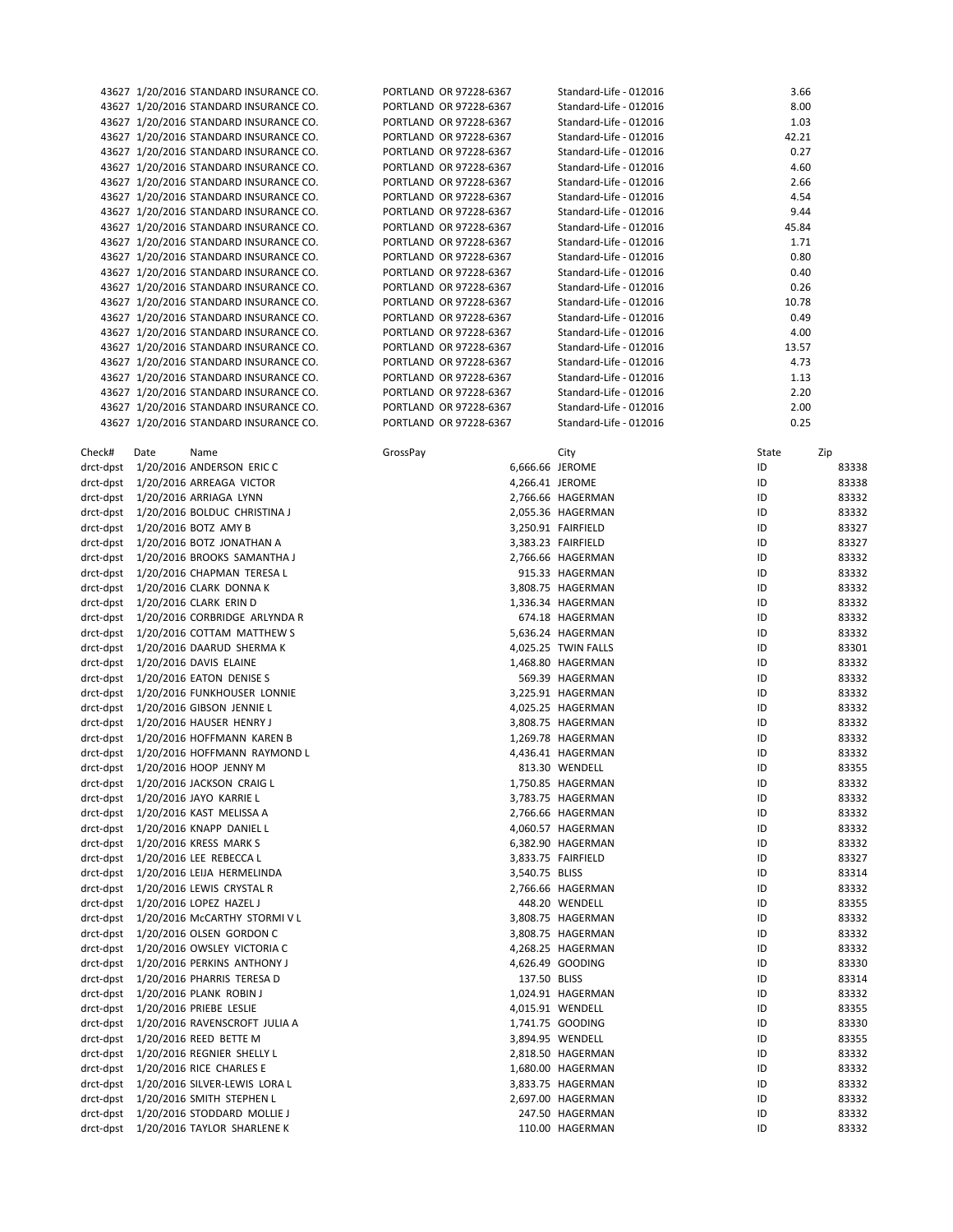|           | 43627 1/20/2016 STANDARD INSURANCE CO.                                           | PORTLAND OR 97228-6367                           | Standard-Life - 012016                           | 3.66         |                |
|-----------|----------------------------------------------------------------------------------|--------------------------------------------------|--------------------------------------------------|--------------|----------------|
|           | 43627 1/20/2016 STANDARD INSURANCE CO.                                           | PORTLAND OR 97228-6367                           | Standard-Life - 012016                           | 8.00         |                |
|           | 43627 1/20/2016 STANDARD INSURANCE CO.                                           | PORTLAND OR 97228-6367                           | Standard-Life - 012016                           | 1.03         |                |
|           | 43627 1/20/2016 STANDARD INSURANCE CO.                                           | PORTLAND OR 97228-6367                           | Standard-Life - 012016                           | 42.21        |                |
|           | 43627 1/20/2016 STANDARD INSURANCE CO.                                           | PORTLAND OR 97228-6367                           | Standard-Life - 012016                           | 0.27         |                |
|           | 43627 1/20/2016 STANDARD INSURANCE CO.                                           | PORTLAND OR 97228-6367                           | Standard-Life - 012016                           | 4.60         |                |
|           | 43627 1/20/2016 STANDARD INSURANCE CO.                                           | PORTLAND OR 97228-6367                           | Standard-Life - 012016                           | 2.66         |                |
|           | 43627 1/20/2016 STANDARD INSURANCE CO.                                           | PORTLAND OR 97228-6367                           | Standard-Life - 012016                           | 4.54         |                |
|           | 43627 1/20/2016 STANDARD INSURANCE CO.                                           | PORTLAND OR 97228-6367                           | Standard-Life - 012016                           | 9.44         |                |
|           | 43627 1/20/2016 STANDARD INSURANCE CO.                                           | PORTLAND OR 97228-6367                           | Standard-Life - 012016                           | 45.84        |                |
|           | 43627 1/20/2016 STANDARD INSURANCE CO.                                           | PORTLAND OR 97228-6367                           | Standard-Life - 012016                           | 1.71         |                |
|           | 43627 1/20/2016 STANDARD INSURANCE CO.                                           | PORTLAND OR 97228-6367                           | Standard-Life - 012016                           | 0.80         |                |
|           | 43627 1/20/2016 STANDARD INSURANCE CO.                                           | PORTLAND OR 97228-6367                           | Standard-Life - 012016                           | 0.40         |                |
|           | 43627 1/20/2016 STANDARD INSURANCE CO.                                           | PORTLAND OR 97228-6367                           | Standard-Life - 012016                           | 0.26         |                |
|           | 43627 1/20/2016 STANDARD INSURANCE CO.                                           | PORTLAND OR 97228-6367                           | Standard-Life - 012016                           | 10.78        |                |
|           | 43627 1/20/2016 STANDARD INSURANCE CO.                                           | PORTLAND OR 97228-6367<br>PORTLAND OR 97228-6367 | Standard-Life - 012016<br>Standard-Life - 012016 | 0.49<br>4.00 |                |
|           | 43627 1/20/2016 STANDARD INSURANCE CO.<br>43627 1/20/2016 STANDARD INSURANCE CO. | PORTLAND OR 97228-6367                           | Standard-Life - 012016                           | 13.57        |                |
|           | 43627 1/20/2016 STANDARD INSURANCE CO.                                           | PORTLAND OR 97228-6367                           | Standard-Life - 012016                           | 4.73         |                |
|           | 43627 1/20/2016 STANDARD INSURANCE CO.                                           | PORTLAND OR 97228-6367                           | Standard-Life - 012016                           | 1.13         |                |
|           | 43627 1/20/2016 STANDARD INSURANCE CO.                                           | PORTLAND OR 97228-6367                           | Standard-Life - 012016                           | 2.20         |                |
|           | 43627 1/20/2016 STANDARD INSURANCE CO.                                           | PORTLAND OR 97228-6367                           | Standard-Life - 012016                           | 2.00         |                |
|           | 43627 1/20/2016 STANDARD INSURANCE CO.                                           | PORTLAND OR 97228-6367                           | Standard-Life - 012016                           | 0.25         |                |
|           |                                                                                  |                                                  |                                                  |              |                |
| Check#    | Date<br>Name                                                                     | GrossPay                                         | City                                             | State        | Zip            |
|           | drct-dpst 1/20/2016 ANDERSON ERIC C                                              | 6,666.66 JEROME                                  |                                                  | ID           | 83338          |
|           | drct-dpst 1/20/2016 ARREAGA VICTOR                                               | 4,266.41 JEROME                                  |                                                  | ID           | 83338          |
|           | drct-dpst 1/20/2016 ARRIAGA LYNN                                                 |                                                  | 2,766.66 HAGERMAN                                | ID           | 83332          |
|           | drct-dpst 1/20/2016 BOLDUC CHRISTINA J                                           |                                                  | 2,055.36 HAGERMAN                                | ID           | 83332          |
|           | drct-dpst 1/20/2016 BOTZ AMY B                                                   |                                                  | 3,250.91 FAIRFIELD                               | ID           | 83327          |
|           | drct-dpst 1/20/2016 BOTZ JONATHAN A                                              |                                                  | 3,383.23 FAIRFIELD                               | ID           | 83327          |
|           | drct-dpst 1/20/2016 BROOKS SAMANTHA J                                            |                                                  | 2,766.66 HAGERMAN                                | ID           | 83332          |
|           | drct-dpst 1/20/2016 CHAPMAN TERESA L                                             |                                                  | 915.33 HAGERMAN                                  | ID           | 83332          |
|           | drct-dpst 1/20/2016 CLARK DONNA K                                                |                                                  | 3,808.75 HAGERMAN                                | ID           | 83332          |
|           | drct-dpst 1/20/2016 CLARK ERIN D                                                 |                                                  | 1,336.34 HAGERMAN                                | ID           | 83332          |
|           | drct-dpst 1/20/2016 CORBRIDGE ARLYNDA R                                          |                                                  | 674.18 HAGERMAN                                  | ID           | 83332          |
|           | drct-dpst 1/20/2016 COTTAM MATTHEW S                                             |                                                  | 5,636.24 HAGERMAN                                | ID           | 83332          |
|           | drct-dpst 1/20/2016 DAARUD SHERMA K                                              |                                                  | 4,025.25 TWIN FALLS                              | ID           | 83301          |
|           | drct-dpst 1/20/2016 DAVIS ELAINE                                                 |                                                  | 1,468.80 HAGERMAN                                | ID           | 83332          |
|           | drct-dpst 1/20/2016 EATON DENISE S                                               |                                                  | 569.39 HAGERMAN                                  | ID           | 83332          |
|           | drct-dpst 1/20/2016 FUNKHOUSER LONNIE                                            |                                                  | 3,225.91 HAGERMAN                                | ID           | 83332          |
|           | drct-dpst 1/20/2016 GIBSON JENNIE L                                              |                                                  | 4,025.25 HAGERMAN                                | ID           | 83332          |
|           | drct-dpst 1/20/2016 HAUSER HENRY J                                               |                                                  | 3,808.75 HAGERMAN                                | ID           | 83332          |
|           | drct-dpst 1/20/2016 HOFFMANN KAREN B                                             |                                                  | 1,269.78 HAGERMAN                                | ID           | 83332          |
|           | drct-dpst 1/20/2016 HOFFMANN RAYMOND L                                           |                                                  | 4,436.41 HAGERMAN                                | ID           | 83332          |
|           | drct-dpst 1/20/2016 HOOP JENNY M                                                 |                                                  | 813.30 WENDELL                                   | ID           | 83355          |
|           | drct-dpst 1/20/2016 JACKSON CRAIG L                                              |                                                  | 1,750.85 HAGERMAN                                | ID           | 83332          |
|           | drct-dpst 1/20/2016 JAYO KARRIE L                                                |                                                  | 3,783.75 HAGERMAN                                | ID           | 83332          |
|           | drct-dpst 1/20/2016 KAST MELISSA A<br>drct-dpst 1/20/2016 KNAPP DANIEL L         |                                                  | 2,766.66 HAGERMAN                                | ID<br>ID     | 83332          |
|           | drct-dpst 1/20/2016 KRESS MARK S                                                 |                                                  | 4,060.57 HAGERMAN<br>6,382.90 HAGERMAN           | ID           | 83332<br>83332 |
|           | drct-dpst 1/20/2016 LEE REBECCA L                                                |                                                  | 3,833.75 FAIRFIELD                               | ID           | 83327          |
|           | drct-dpst 1/20/2016 LEIJA HERMELINDA                                             | 3,540.75 BLISS                                   |                                                  | ID           | 83314          |
|           | drct-dpst 1/20/2016 LEWIS CRYSTAL R                                              |                                                  | 2,766.66 HAGERMAN                                | ID           | 83332          |
|           | drct-dpst 1/20/2016 LOPEZ HAZEL J                                                |                                                  | 448.20 WENDELL                                   | ID           | 83355          |
|           | drct-dpst 1/20/2016 McCARTHY STORMIVL                                            |                                                  | 3,808.75 HAGERMAN                                | ID           | 83332          |
|           | drct-dpst 1/20/2016 OLSEN GORDON C                                               |                                                  | 3,808.75 HAGERMAN                                | ID           | 83332          |
|           | drct-dpst 1/20/2016 OWSLEY VICTORIA C                                            |                                                  | 4,268.25 HAGERMAN                                | ID           | 83332          |
|           | drct-dpst 1/20/2016 PERKINS ANTHONY J                                            |                                                  | 4,626.49 GOODING                                 | ID           | 83330          |
|           | drct-dpst 1/20/2016 PHARRIS TERESA D                                             | 137.50 BLISS                                     |                                                  | ID           | 83314          |
|           | drct-dpst 1/20/2016 PLANK ROBIN J                                                |                                                  | 1,024.91 HAGERMAN                                | ID           | 83332          |
|           | drct-dpst 1/20/2016 PRIEBE LESLIE                                                |                                                  | 4,015.91 WENDELL                                 | ID           | 83355          |
|           | drct-dpst 1/20/2016 RAVENSCROFT JULIA A                                          |                                                  | 1,741.75 GOODING                                 | ID           | 83330          |
|           | drct-dpst 1/20/2016 REED BETTE M                                                 |                                                  | 3,894.95 WENDELL                                 | ID           | 83355          |
|           | drct-dpst 1/20/2016 REGNIER SHELLY L                                             |                                                  | 2,818.50 HAGERMAN                                | ID           | 83332          |
|           | drct-dpst 1/20/2016 RICE CHARLES E                                               |                                                  | 1,680.00 HAGERMAN                                | ID           | 83332          |
|           | drct-dpst 1/20/2016 SILVER-LEWIS LORA L                                          |                                                  | 3,833.75 HAGERMAN                                | ID           | 83332          |
|           | drct-dpst 1/20/2016 SMITH STEPHEN L                                              |                                                  | 2,697.00 HAGERMAN                                | ID           | 83332          |
| drct-dpst | 1/20/2016 STODDARD MOLLIE J                                                      |                                                  | 247.50 HAGERMAN                                  | ID           | 83332          |
| drct-dpst | 1/20/2016 TAYLOR SHARLENE K                                                      |                                                  | 110.00 HAGERMAN                                  | ID           | 83332          |